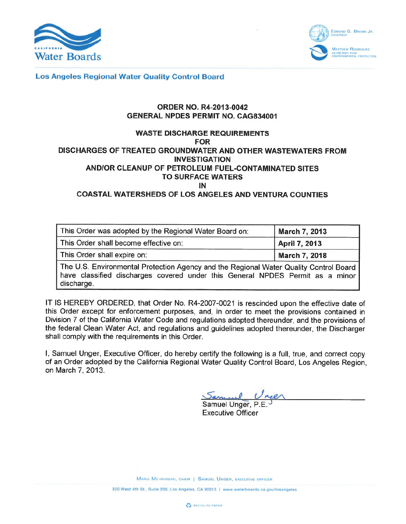



**Los Angeles Regional Water Quality Control Board** 

## **ORDER NO. R4-2013-0042 GENERAL NPDES PERMIT NO. CAG834001**

## **WASTE DISCHARGE REQUIREMENTS FOR** DISCHARGES OF TREATED GROUNDWATER AND OTHER WASTEWATERS FROM **INVESTIGATION** AND/OR CLEANUP OF PETROLEUM FUEL-CONTAMINATED SITES **TO SURFACE WATERS** IN

**COASTAL WATERSHEDS OF LOS ANGELES AND VENTURA COUNTIES** 

| This Order was adopted by the Regional Water Board on:                                                                                                                               | <b>March 7, 2013</b> |  |  |
|--------------------------------------------------------------------------------------------------------------------------------------------------------------------------------------|----------------------|--|--|
| This Order shall become effective on:                                                                                                                                                | April 7, 2013        |  |  |
| This Order shall expire on:                                                                                                                                                          | <b>March 7, 2018</b> |  |  |
| The U.S. Environmental Protection Agency and the Regional Water Quality Control Board<br>have classified discharges covered under this General NPDES Permit as a minor<br>discharge. |                      |  |  |

IT IS HEREBY ORDERED, that Order No. R4-2007-0021 is rescinded upon the effective date of this Order except for enforcement purposes, and, in order to meet the provisions contained in Division 7 of the California Water Code and regulations adopted thereunder, and the provisions of the federal Clean Water Act, and regulations and guidelines adopted thereunder, the Discharger shall comply with the requirements in this Order.

I, Samuel Unger, Executive Officer, do hereby certify the following is a full, true, and correct copy of an Order adopted by the California Regional Water Quality Control Board, Los Angeles Region, on March 7, 2013.

Samuel Unge

**Executive Officer** 

MARIA MEHRANIAN, CHAIR | SAMUEL UNGER, EXECUTIVE OFFICER

320 West 4th St., Suite 200, Los Angeles, CA 90013 | www.waterboards.ca.gov/losangeles

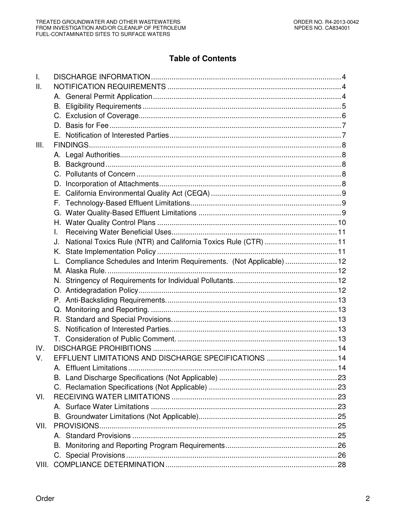# **Table of Contents**

| $\mathsf{L}$ |                                                                       |  |
|--------------|-----------------------------------------------------------------------|--|
| Ш.           |                                                                       |  |
|              |                                                                       |  |
|              | В.                                                                    |  |
|              |                                                                       |  |
|              |                                                                       |  |
|              |                                                                       |  |
| Ш.           |                                                                       |  |
|              |                                                                       |  |
|              |                                                                       |  |
|              |                                                                       |  |
|              | D.                                                                    |  |
|              | Е.                                                                    |  |
|              |                                                                       |  |
|              | F.                                                                    |  |
|              |                                                                       |  |
|              |                                                                       |  |
|              | I.                                                                    |  |
|              | National Toxics Rule (NTR) and California Toxics Rule (CTR)  11<br>J. |  |
|              | Κ.                                                                    |  |
|              | Compliance Schedules and Interim Requirements. (Not Applicable)  12   |  |
|              |                                                                       |  |
|              |                                                                       |  |
|              |                                                                       |  |
|              |                                                                       |  |
|              |                                                                       |  |
|              |                                                                       |  |
|              | S.                                                                    |  |
|              |                                                                       |  |
| IV.          |                                                                       |  |
| V.           | EFFLUENT LIMITATIONS AND DISCHARGE SPECIFICATIONS  14                 |  |
|              |                                                                       |  |
|              |                                                                       |  |
|              |                                                                       |  |
| VI.          |                                                                       |  |
|              |                                                                       |  |
|              |                                                                       |  |
| VII.         |                                                                       |  |
|              |                                                                       |  |
|              | В.                                                                    |  |
|              |                                                                       |  |
| VIII.        |                                                                       |  |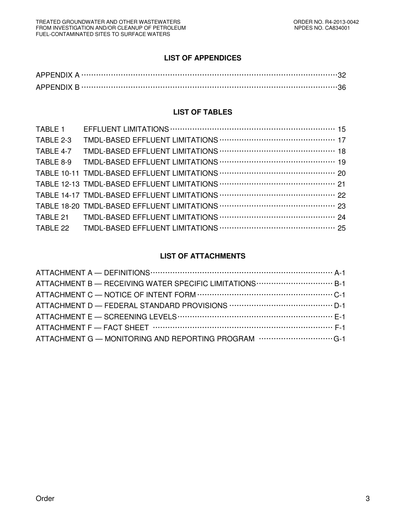# **LIST OF APPENDICES**

## **LIST OF TABLES**

| TABLE 1   |  |
|-----------|--|
| TABLE 2-3 |  |
| TABLE 4-7 |  |
| TABLE 8-9 |  |
|           |  |
|           |  |
|           |  |
|           |  |
| TABLE 21  |  |
| TABLE 22  |  |

# **LIST OF ATTACHMENTS**

| ATTACHMENT B - RECEIVING WATER SPECIFIC LIMITATIONS  B-1         |  |
|------------------------------------------------------------------|--|
|                                                                  |  |
|                                                                  |  |
|                                                                  |  |
|                                                                  |  |
| ATTACHMENT G - MONITORING AND REPORTING PROGRAM www.www.www.co.1 |  |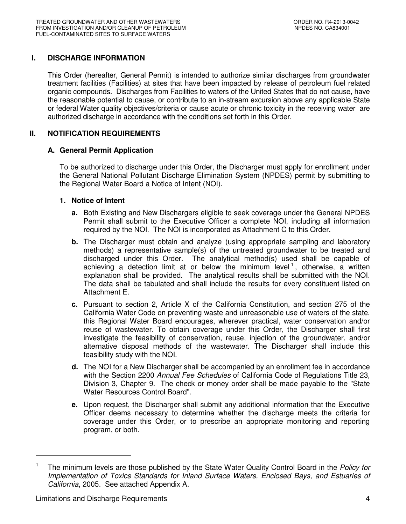# **I. DISCHARGE INFORMATION**

This Order (hereafter, General Permit) is intended to authorize similar discharges from groundwater treatment facilities (Facilities) at sites that have been impacted by release of petroleum fuel related organic compounds. Discharges from Facilities to waters of the United States that do not cause, have the reasonable potential to cause, or contribute to an in-stream excursion above any applicable State or federal Water quality objectives/criteria or cause acute or chronic toxicity in the receiving water are authorized discharge in accordance with the conditions set forth in this Order.

## **II. NOTIFICATION REQUIREMENTS**

## **A. General Permit Application**

To be authorized to discharge under this Order, the Discharger must apply for enrollment under the General National Pollutant Discharge Elimination System (NPDES) permit by submitting to the Regional Water Board a Notice of Intent (NOI).

## **1. Notice of Intent**

- **a.** Both Existing and New Dischargers eligible to seek coverage under the General NPDES Permit shall submit to the Executive Officer a complete NOI, including all information required by the NOI. The NOI is incorporated as Attachment C to this Order.
- **b.** The Discharger must obtain and analyze (using appropriate sampling and laboratory methods) a representative sample(s) of the untreated groundwater to be treated and discharged under this Order. The analytical method(s) used shall be capable of achieving a detection limit at or below the minimum level<sup>1</sup>, otherwise, a written explanation shall be provided. The analytical results shall be submitted with the NOI. The data shall be tabulated and shall include the results for every constituent listed on Attachment E.
- **c.** Pursuant to section 2, Article X of the California Constitution, and section 275 of the California Water Code on preventing waste and unreasonable use of waters of the state, this Regional Water Board encourages, wherever practical, water conservation and/or reuse of wastewater. To obtain coverage under this Order, the Discharger shall first investigate the feasibility of conservation, reuse, injection of the groundwater, and/or alternative disposal methods of the wastewater. The Discharger shall include this feasibility study with the NOI.
- **d.** The NOI for a New Discharger shall be accompanied by an enrollment fee in accordance with the Section 2200 Annual Fee Schedules of California Code of Regulations Title 23, Division 3, Chapter 9. The check or money order shall be made payable to the "State Water Resources Control Board".
- **e.** Upon request, the Discharger shall submit any additional information that the Executive Officer deems necessary to determine whether the discharge meets the criteria for coverage under this Order, or to prescribe an appropriate monitoring and reporting program, or both.

<sup>1</sup> The minimum levels are those published by the State Water Quality Control Board in the Policy for Implementation of Toxics Standards for Inland Surface Waters, Enclosed Bays, and Estuaries of California, 2005. See attached Appendix A.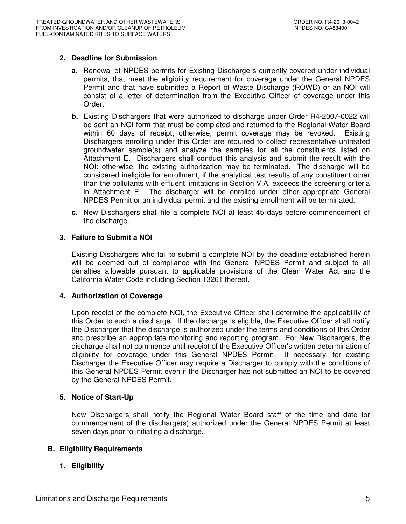## **2. Deadline for Submission**

- **a.** Renewal of NPDES permits for Existing Dischargers currently covered under individual permits, that meet the eligibility requirement for coverage under the General NPDES Permit and that have submitted a Report of Waste Discharge (ROWD) or an NOI will consist of a letter of determination from the Executive Officer of coverage under this Order.
- **b.** Existing Dischargers that were authorized to discharge under Order R4-2007-0022 will be sent an NOI form that must be completed and returned to the Regional Water Board within 60 days of receipt; otherwise, permit coverage may be revoked. Existing Dischargers enrolling under this Order are required to collect representative untreated groundwater sample(s) and analyze the samples for all the constituents listed on Attachment E. Dischargers shall conduct this analysis and submit the result with the NOI; otherwise, the existing authorization may be terminated. The discharge will be considered ineligible for enrollment, if the analytical test results of any constituent other than the pollutants with effluent limitations in Section V.A. exceeds the screening criteria in Attachment E. The discharger will be enrolled under other appropriate General NPDES Permit or an individual permit and the existing enrollment will be terminated.
- **c.** New Dischargers shall file a complete NOI at least 45 days before commencement of the discharge.

## **3. Failure to Submit a NOI**

Existing Dischargers who fail to submit a complete NOI by the deadline established herein will be deemed out of compliance with the General NPDES Permit and subject to all penalties allowable pursuant to applicable provisions of the Clean Water Act and the California Water Code including Section 13261 thereof.

## **4. Authorization of Coverage**

Upon receipt of the complete NOI, the Executive Officer shall determine the applicability of this Order to such a discharge. If the discharge is eligible, the Executive Officer shall notify the Discharger that the discharge is authorized under the terms and conditions of this Order and prescribe an appropriate monitoring and reporting program. For New Dischargers, the discharge shall not commence until receipt of the Executive Officer's written determination of eligibility for coverage under this General NPDES Permit. If necessary, for existing Discharger the Executive Officer may require a Discharger to comply with the conditions of this General NPDES Permit even if the Discharger has not submitted an NOI to be covered by the General NPDES Permit.

## **5. Notice of Start-Up**

New Dischargers shall notify the Regional Water Board staff of the time and date for commencement of the discharge(s) authorized under the General NPDES Permit at least seven days prior to initiating a discharge.

## **B. Eligibility Requirements**

## **1. Eligibility**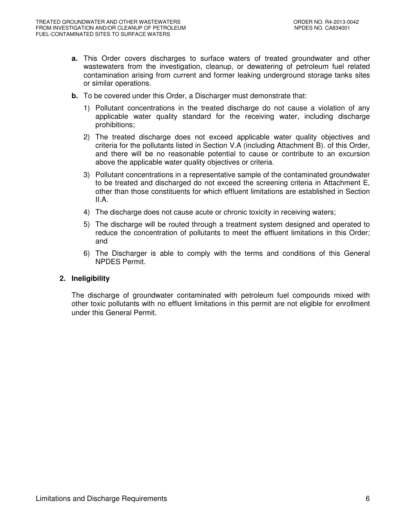- **a.** This Order covers discharges to surface waters of treated groundwater and other wastewaters from the investigation, cleanup, or dewatering of petroleum fuel related contamination arising from current and former leaking underground storage tanks sites or similar operations.
- **b.** To be covered under this Order, a Discharger must demonstrate that:
	- 1) Pollutant concentrations in the treated discharge do not cause a violation of any applicable water quality standard for the receiving water, including discharge prohibitions;
	- 2) The treated discharge does not exceed applicable water quality objectives and criteria for the pollutants listed in Section V.A (including Attachment B). of this Order, and there will be no reasonable potential to cause or contribute to an excursion above the applicable water quality objectives or criteria.
	- 3) Pollutant concentrations in a representative sample of the contaminated groundwater to be treated and discharged do not exceed the screening criteria in Attachment E, other than those constituents for which effluent limitations are established in Section II.A.
	- 4) The discharge does not cause acute or chronic toxicity in receiving waters;
	- 5) The discharge will be routed through a treatment system designed and operated to reduce the concentration of pollutants to meet the effluent limitations in this Order; and
	- 6) The Discharger is able to comply with the terms and conditions of this General NPDES Permit.

## **2. Ineligibility**

The discharge of groundwater contaminated with petroleum fuel compounds mixed with other toxic pollutants with no effluent limitations in this permit are not eligible for enrollment under this General Permit.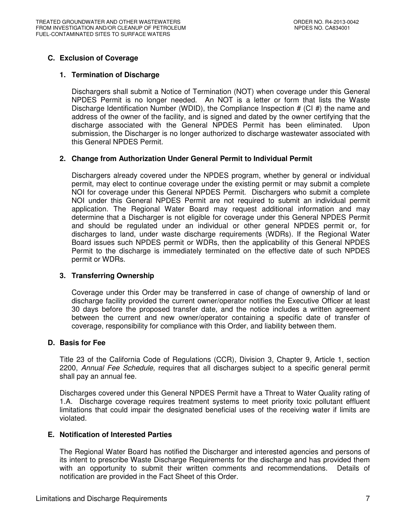## **C. Exclusion of Coverage**

## **1. Termination of Discharge**

Dischargers shall submit a Notice of Termination (NOT) when coverage under this General NPDES Permit is no longer needed. An NOT is a letter or form that lists the Waste Discharge Identification Number (WDID), the Compliance Inspection  $# (Cl \#)$  the name and address of the owner of the facility, and is signed and dated by the owner certifying that the discharge associated with the General NPDES Permit has been eliminated. Upon submission, the Discharger is no longer authorized to discharge wastewater associated with this General NPDES Permit.

## **2. Change from Authorization Under General Permit to Individual Permit**

Dischargers already covered under the NPDES program, whether by general or individual permit, may elect to continue coverage under the existing permit or may submit a complete NOI for coverage under this General NPDES Permit. Dischargers who submit a complete NOI under this General NPDES Permit are not required to submit an individual permit application. The Regional Water Board may request additional information and may determine that a Discharger is not eligible for coverage under this General NPDES Permit and should be regulated under an individual or other general NPDES permit or, for discharges to land, under waste discharge requirements (WDRs). If the Regional Water Board issues such NPDES permit or WDRs, then the applicability of this General NPDES Permit to the discharge is immediately terminated on the effective date of such NPDES permit or WDRs.

## **3. Transferring Ownership**

Coverage under this Order may be transferred in case of change of ownership of land or discharge facility provided the current owner/operator notifies the Executive Officer at least 30 days before the proposed transfer date, and the notice includes a written agreement between the current and new owner/operator containing a specific date of transfer of coverage, responsibility for compliance with this Order, and liability between them.

#### **D. Basis for Fee**

Title 23 of the California Code of Regulations (CCR), Division 3, Chapter 9, Article 1, section 2200, Annual Fee Schedule, requires that all discharges subject to a specific general permit shall pay an annual fee.

Discharges covered under this General NPDES Permit have a Threat to Water Quality rating of 1.A. Discharge coverage requires treatment systems to meet priority toxic pollutant effluent limitations that could impair the designated beneficial uses of the receiving water if limits are violated.

#### **E. Notification of Interested Parties**

The Regional Water Board has notified the Discharger and interested agencies and persons of its intent to prescribe Waste Discharge Requirements for the discharge and has provided them with an opportunity to submit their written comments and recommendations. Details of notification are provided in the Fact Sheet of this Order.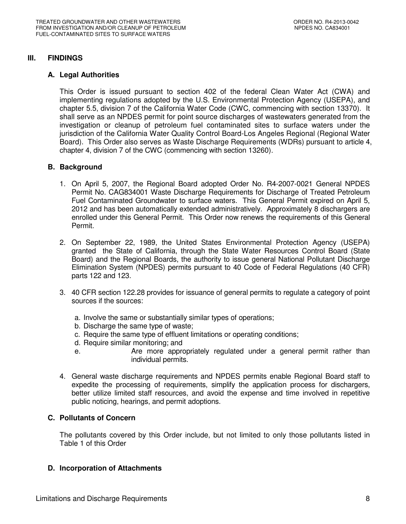## **III. FINDINGS**

## **A. Legal Authorities**

This Order is issued pursuant to section 402 of the federal Clean Water Act (CWA) and implementing regulations adopted by the U.S. Environmental Protection Agency (USEPA), and chapter 5.5, division 7 of the California Water Code (CWC, commencing with section 13370). It shall serve as an NPDES permit for point source discharges of wastewaters generated from the investigation or cleanup of petroleum fuel contaminated sites to surface waters under the jurisdiction of the California Water Quality Control Board-Los Angeles Regional (Regional Water Board). This Order also serves as Waste Discharge Requirements (WDRs) pursuant to article 4, chapter 4, division 7 of the CWC (commencing with section 13260).

## **B. Background**

- 1. On April 5, 2007, the Regional Board adopted Order No. R4-2007-0021 General NPDES Permit No. CAG834001 Waste Discharge Requirements for Discharge of Treated Petroleum Fuel Contaminated Groundwater to surface waters. This General Permit expired on April 5, 2012 and has been automatically extended administratively. Approximately 8 dischargers are enrolled under this General Permit. This Order now renews the requirements of this General Permit.
- 2. On September 22, 1989, the United States Environmental Protection Agency (USEPA) granted the State of California, through the State Water Resources Control Board (State Board) and the Regional Boards, the authority to issue general National Pollutant Discharge Elimination System (NPDES) permits pursuant to 40 Code of Federal Regulations (40 CFR) parts 122 and 123.
- 3. 40 CFR section 122.28 provides for issuance of general permits to regulate a category of point sources if the sources:
	- a. Involve the same or substantially similar types of operations;
	- b. Discharge the same type of waste;
	- c. Require the same type of effluent limitations or operating conditions;
	- d. Require similar monitoring; and
	- e. Are more appropriately regulated under a general permit rather than individual permits.
- 4. General waste discharge requirements and NPDES permits enable Regional Board staff to expedite the processing of requirements, simplify the application process for dischargers, better utilize limited staff resources, and avoid the expense and time involved in repetitive public noticing, hearings, and permit adoptions.

## **C. Pollutants of Concern**

The pollutants covered by this Order include, but not limited to only those pollutants listed in Table 1 of this Order

## **D. Incorporation of Attachments**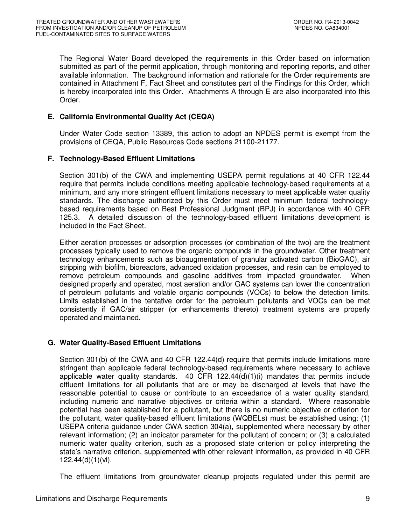The Regional Water Board developed the requirements in this Order based on information submitted as part of the permit application, through monitoring and reporting reports, and other available information. The background information and rationale for the Order requirements are contained in Attachment F, Fact Sheet and constitutes part of the Findings for this Order, which is hereby incorporated into this Order. Attachments A through E are also incorporated into this Order.

## **E. California Environmental Quality Act (CEQA)**

Under Water Code section 13389, this action to adopt an NPDES permit is exempt from the provisions of CEQA, Public Resources Code sections 21100-21177.

## **F. Technology-Based Effluent Limitations**

Section 301(b) of the CWA and implementing USEPA permit regulations at 40 CFR 122.44 require that permits include conditions meeting applicable technology-based requirements at a minimum, and any more stringent effluent limitations necessary to meet applicable water quality standards. The discharge authorized by this Order must meet minimum federal technologybased requirements based on Best Professional Judgment (BPJ) in accordance with 40 CFR 125.3. A detailed discussion of the technology-based effluent limitations development is included in the Fact Sheet.

Either aeration processes or adsorption processes (or combination of the two) are the treatment processes typically used to remove the organic compounds in the groundwater. Other treatment technology enhancements such as bioaugmentation of granular activated carbon (BioGAC), air stripping with biofilm, bioreactors, advanced oxidation processes, and resin can be employed to remove petroleum compounds and gasoline additives from impacted groundwater. When designed properly and operated, most aeration and/or GAC systems can lower the concentration of petroleum pollutants and volatile organic compounds (VOCs) to below the detection limits. Limits established in the tentative order for the petroleum pollutants and VOCs can be met consistently if GAC/air stripper (or enhancements thereto) treatment systems are properly operated and maintained.

## **G. Water Quality-Based Effluent Limitations**

Section 301(b) of the CWA and 40 CFR 122.44(d) require that permits include limitations more stringent than applicable federal technology-based requirements where necessary to achieve applicable water quality standards.  $40$  CFR 122.44(d)(1)(i) mandates that permits include effluent limitations for all pollutants that are or may be discharged at levels that have the reasonable potential to cause or contribute to an exceedance of a water quality standard, including numeric and narrative objectives or criteria within a standard. Where reasonable potential has been established for a pollutant, but there is no numeric objective or criterion for the pollutant, water quality-based effluent limitations (WQBELs) must be established using: (1) USEPA criteria guidance under CWA section 304(a), supplemented where necessary by other relevant information; (2) an indicator parameter for the pollutant of concern; or (3) a calculated numeric water quality criterion, such as a proposed state criterion or policy interpreting the state's narrative criterion, supplemented with other relevant information, as provided in 40 CFR 122.44(d)(1)(vi).

The effluent limitations from groundwater cleanup projects regulated under this permit are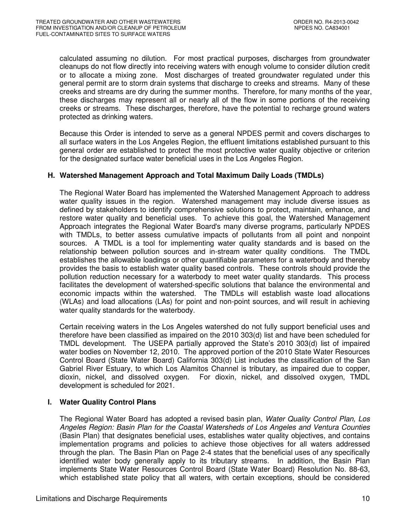calculated assuming no dilution. For most practical purposes, discharges from groundwater cleanups do not flow directly into receiving waters with enough volume to consider dilution credit or to allocate a mixing zone. Most discharges of treated groundwater regulated under this general permit are to storm drain systems that discharge to creeks and streams. Many of these creeks and streams are dry during the summer months. Therefore, for many months of the year, these discharges may represent all or nearly all of the flow in some portions of the receiving creeks or streams. These discharges, therefore, have the potential to recharge ground waters protected as drinking waters.

Because this Order is intended to serve as a general NPDES permit and covers discharges to all surface waters in the Los Angeles Region, the effluent limitations established pursuant to this general order are established to protect the most protective water quality objective or criterion for the designated surface water beneficial uses in the Los Angeles Region.

## **H. Watershed Management Approach and Total Maximum Daily Loads (TMDLs)**

The Regional Water Board has implemented the Watershed Management Approach to address water quality issues in the region. Watershed management may include diverse issues as defined by stakeholders to identify comprehensive solutions to protect, maintain, enhance, and restore water quality and beneficial uses. To achieve this goal, the Watershed Management Approach integrates the Regional Water Board's many diverse programs, particularly NPDES with TMDLs, to better assess cumulative impacts of pollutants from all point and nonpoint sources. A TMDL is a tool for implementing water quality standards and is based on the relationship between pollution sources and in-stream water quality conditions. The TMDL establishes the allowable loadings or other quantifiable parameters for a waterbody and thereby provides the basis to establish water quality based controls. These controls should provide the pollution reduction necessary for a waterbody to meet water quality standards. This process facilitates the development of watershed-specific solutions that balance the environmental and economic impacts within the watershed. The TMDLs will establish waste load allocations (WLAs) and load allocations (LAs) for point and non-point sources, and will result in achieving water quality standards for the waterbody.

Certain receiving waters in the Los Angeles watershed do not fully support beneficial uses and therefore have been classified as impaired on the 2010 303(d) list and have been scheduled for TMDL development. The USEPA partially approved the State's 2010 303(d) list of impaired water bodies on November 12, 2010. The approved portion of the 2010 State Water Resources Control Board (State Water Board) California 303(d) List includes the classification of the San Gabriel River Estuary, to which Los Alamitos Channel is tributary, as impaired due to copper, dioxin, nickel, and dissolved oxygen. For dioxin, nickel, and dissolved oxygen, TMDL development is scheduled for 2021.

## **I. Water Quality Control Plans**

The Regional Water Board has adopted a revised basin plan, Water Quality Control Plan, Los Angeles Region: Basin Plan for the Coastal Watersheds of Los Angeles and Ventura Counties (Basin Plan) that designates beneficial uses, establishes water quality objectives, and contains implementation programs and policies to achieve those objectives for all waters addressed through the plan. The Basin Plan on Page 2-4 states that the beneficial uses of any specifically identified water body generally apply to its tributary streams. In addition, the Basin Plan implements State Water Resources Control Board (State Water Board) Resolution No. 88-63, which established state policy that all waters, with certain exceptions, should be considered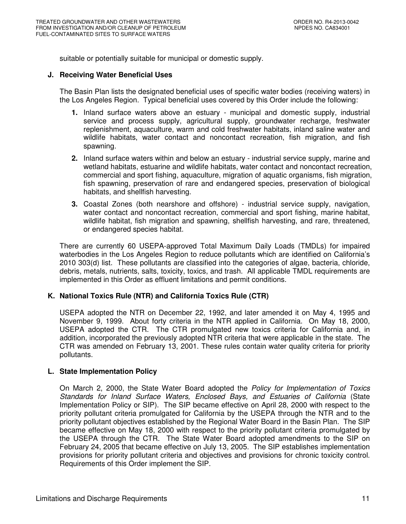suitable or potentially suitable for municipal or domestic supply.

#### **J. Receiving Water Beneficial Uses**

The Basin Plan lists the designated beneficial uses of specific water bodies (receiving waters) in the Los Angeles Region. Typical beneficial uses covered by this Order include the following:

- **1.** Inland surface waters above an estuary municipal and domestic supply, industrial service and process supply, agricultural supply, groundwater recharge, freshwater replenishment, aquaculture, warm and cold freshwater habitats, inland saline water and wildlife habitats, water contact and noncontact recreation, fish migration, and fish spawning.
- **2.** Inland surface waters within and below an estuary industrial service supply, marine and wetland habitats, estuarine and wildlife habitats, water contact and noncontact recreation, commercial and sport fishing, aquaculture, migration of aquatic organisms, fish migration, fish spawning, preservation of rare and endangered species, preservation of biological habitats, and shellfish harvesting.
- **3.** Coastal Zones (both nearshore and offshore) industrial service supply, navigation, water contact and noncontact recreation, commercial and sport fishing, marine habitat, wildlife habitat, fish migration and spawning, shellfish harvesting, and rare, threatened, or endangered species habitat.

There are currently 60 USEPA-approved Total Maximum Daily Loads (TMDLs) for impaired waterbodies in the Los Angeles Region to reduce pollutants which are identified on California's 2010 303(d) list. These pollutants are classified into the categories of algae, bacteria, chloride, debris, metals, nutrients, salts, toxicity, toxics, and trash. All applicable TMDL requirements are implemented in this Order as effluent limitations and permit conditions.

## **K. National Toxics Rule (NTR) and California Toxics Rule (CTR)**

USEPA adopted the NTR on December 22, 1992, and later amended it on May 4, 1995 and November 9, 1999. About forty criteria in the NTR applied in California. On May 18, 2000, USEPA adopted the CTR. The CTR promulgated new toxics criteria for California and, in addition, incorporated the previously adopted NTR criteria that were applicable in the state. The CTR was amended on February 13, 2001. These rules contain water quality criteria for priority pollutants.

#### **L. State Implementation Policy**

On March 2, 2000, the State Water Board adopted the Policy for Implementation of Toxics Standards for Inland Surface Waters, Enclosed Bays, and Estuaries of California (State Implementation Policy or SIP). The SIP became effective on April 28, 2000 with respect to the priority pollutant criteria promulgated for California by the USEPA through the NTR and to the priority pollutant objectives established by the Regional Water Board in the Basin Plan. The SIP became effective on May 18, 2000 with respect to the priority pollutant criteria promulgated by the USEPA through the CTR. The State Water Board adopted amendments to the SIP on February 24, 2005 that became effective on July 13, 2005. The SIP establishes implementation provisions for priority pollutant criteria and objectives and provisions for chronic toxicity control. Requirements of this Order implement the SIP.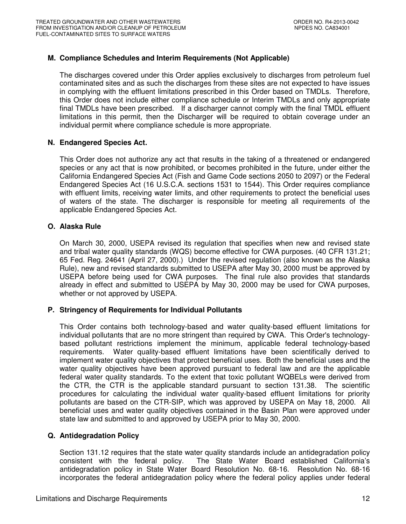## **M. Compliance Schedules and Interim Requirements (Not Applicable)**

The discharges covered under this Order applies exclusively to discharges from petroleum fuel contaminated sites and as such the discharges from these sites are not expected to have issues in complying with the effluent limitations prescribed in this Order based on TMDLs. Therefore, this Order does not include either compliance schedule or Interim TMDLs and only appropriate final TMDLs have been prescribed. If a discharger cannot comply with the final TMDL effluent limitations in this permit, then the Discharger will be required to obtain coverage under an individual permit where compliance schedule is more appropriate.

#### **N. Endangered Species Act.**

This Order does not authorize any act that results in the taking of a threatened or endangered species or any act that is now prohibited, or becomes prohibited in the future, under either the California Endangered Species Act (Fish and Game Code sections 2050 to 2097) or the Federal Endangered Species Act (16 U.S.C.A. sections 1531 to 1544). This Order requires compliance with effluent limits, receiving water limits, and other requirements to protect the beneficial uses of waters of the state. The discharger is responsible for meeting all requirements of the applicable Endangered Species Act.

## **O. Alaska Rule**

On March 30, 2000, USEPA revised its regulation that specifies when new and revised state and tribal water quality standards (WQS) become effective for CWA purposes. (40 CFR 131.21; 65 Fed. Reg. 24641 (April 27, 2000).) Under the revised regulation (also known as the Alaska Rule), new and revised standards submitted to USEPA after May 30, 2000 must be approved by USEPA before being used for CWA purposes. The final rule also provides that standards already in effect and submitted to USEPA by May 30, 2000 may be used for CWA purposes, whether or not approved by USEPA.

## **P. Stringency of Requirements for Individual Pollutants**

This Order contains both technology-based and water quality-based effluent limitations for individual pollutants that are no more stringent than required by CWA. This Order's technologybased pollutant restrictions implement the minimum, applicable federal technology-based requirements. Water quality-based effluent limitations have been scientifically derived to implement water quality objectives that protect beneficial uses. Both the beneficial uses and the water quality objectives have been approved pursuant to federal law and are the applicable federal water quality standards. To the extent that toxic pollutant WQBELs were derived from the CTR, the CTR is the applicable standard pursuant to section 131.38. The scientific procedures for calculating the individual water quality-based effluent limitations for priority pollutants are based on the CTR-SIP, which was approved by USEPA on May 18, 2000. All beneficial uses and water quality objectives contained in the Basin Plan were approved under state law and submitted to and approved by USEPA prior to May 30, 2000.

## **Q. Antidegradation Policy**

Section 131.12 requires that the state water quality standards include an antidegradation policy consistent with the federal policy. The State Water Board established California's antidegradation policy in State Water Board Resolution No. 68-16. Resolution No. 68-16 incorporates the federal antidegradation policy where the federal policy applies under federal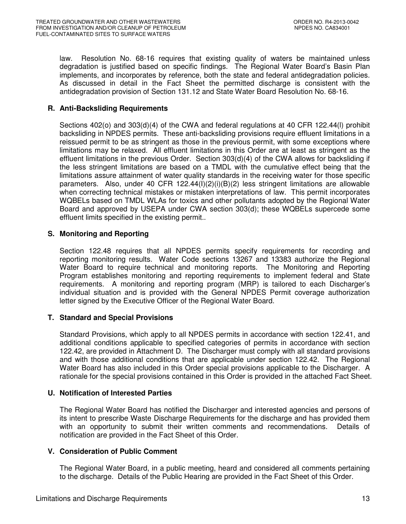law. Resolution No. 68-16 requires that existing quality of waters be maintained unless degradation is justified based on specific findings. The Regional Water Board's Basin Plan implements, and incorporates by reference, both the state and federal antidegradation policies. As discussed in detail in the Fact Sheet the permitted discharge is consistent with the antidegradation provision of Section 131.12 and State Water Board Resolution No. 68-16.

## **R. Anti-Backsliding Requirements**

Sections 402(o) and 303(d)(4) of the CWA and federal regulations at 40 CFR 122.44(l) prohibit backsliding in NPDES permits. These anti-backsliding provisions require effluent limitations in a reissued permit to be as stringent as those in the previous permit, with some exceptions where limitations may be relaxed. All effluent limitations in this Order are at least as stringent as the effluent limitations in the previous Order. Section 303(d)(4) of the CWA allows for backsliding if the less stringent limitations are based on a TMDL with the cumulative effect being that the limitations assure attainment of water quality standards in the receiving water for those specific parameters. Also, under 40 CFR 122.44(I)(2)(i)(B)(2) less stringent limitations are allowable when correcting technical mistakes or mistaken interpretations of law. This permit incorporates WQBELs based on TMDL WLAs for toxics and other pollutants adopted by the Regional Water Board and approved by USEPA under CWA section 303(d); these WQBELs supercede some effluent limits specified in the existing permit..

## **S. Monitoring and Reporting**

Section 122.48 requires that all NPDES permits specify requirements for recording and reporting monitoring results. Water Code sections 13267 and 13383 authorize the Regional Water Board to require technical and monitoring reports. The Monitoring and Reporting Program establishes monitoring and reporting requirements to implement federal and State requirements. A monitoring and reporting program (MRP) is tailored to each Discharger's individual situation and is provided with the General NPDES Permit coverage authorization letter signed by the Executive Officer of the Regional Water Board.

## **T. Standard and Special Provisions**

Standard Provisions, which apply to all NPDES permits in accordance with section 122.41, and additional conditions applicable to specified categories of permits in accordance with section 122.42, are provided in Attachment D. The Discharger must comply with all standard provisions and with those additional conditions that are applicable under section 122.42. The Regional Water Board has also included in this Order special provisions applicable to the Discharger. A rationale for the special provisions contained in this Order is provided in the attached Fact Sheet.

## **U. Notification of Interested Parties**

The Regional Water Board has notified the Discharger and interested agencies and persons of its intent to prescribe Waste Discharge Requirements for the discharge and has provided them with an opportunity to submit their written comments and recommendations. Details of notification are provided in the Fact Sheet of this Order.

## **V. Consideration of Public Comment**

The Regional Water Board, in a public meeting, heard and considered all comments pertaining to the discharge. Details of the Public Hearing are provided in the Fact Sheet of this Order.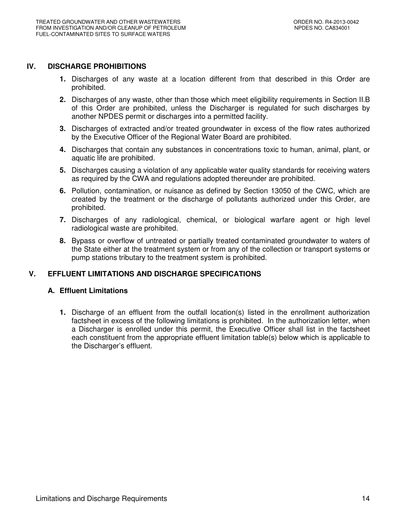## **IV. DISCHARGE PROHIBITIONS**

- **1.** Discharges of any waste at a location different from that described in this Order are prohibited.
- **2.** Discharges of any waste, other than those which meet eligibility requirements in Section II.B of this Order are prohibited, unless the Discharger is regulated for such discharges by another NPDES permit or discharges into a permitted facility.
- **3.** Discharges of extracted and/or treated groundwater in excess of the flow rates authorized by the Executive Officer of the Regional Water Board are prohibited.
- **4.** Discharges that contain any substances in concentrations toxic to human, animal, plant, or aquatic life are prohibited.
- **5.** Discharges causing a violation of any applicable water quality standards for receiving waters as required by the CWA and regulations adopted thereunder are prohibited.
- **6.** Pollution, contamination, or nuisance as defined by Section 13050 of the CWC, which are created by the treatment or the discharge of pollutants authorized under this Order, are prohibited.
- **7.** Discharges of any radiological, chemical, or biological warfare agent or high level radiological waste are prohibited.
- **8.** Bypass or overflow of untreated or partially treated contaminated groundwater to waters of the State either at the treatment system or from any of the collection or transport systems or pump stations tributary to the treatment system is prohibited.

## **V. EFFLUENT LIMITATIONS AND DISCHARGE SPECIFICATIONS**

#### **A. Effluent Limitations**

**1.** Discharge of an effluent from the outfall location(s) listed in the enrollment authorization factsheet in excess of the following limitations is prohibited. In the authorization letter, when a Discharger is enrolled under this permit, the Executive Officer shall list in the factsheet each constituent from the appropriate effluent limitation table(s) below which is applicable to the Discharger's effluent.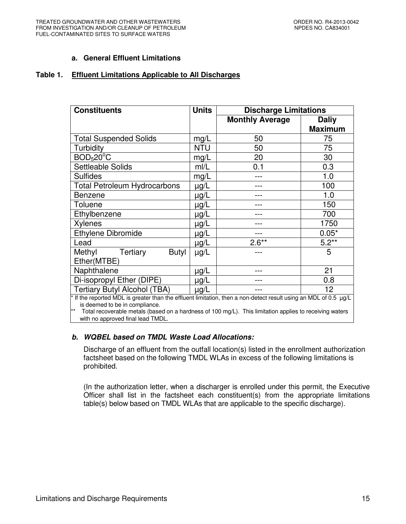## **a. General Effluent Limitations**

#### **Table 1. Effluent Limitations Applicable to All Discharges**

| <b>Constituents</b>                                                                                              | <b>Units</b> | <b>Discharge Limitations</b> |                |  |  |
|------------------------------------------------------------------------------------------------------------------|--------------|------------------------------|----------------|--|--|
|                                                                                                                  |              | <b>Monthly Average</b>       | <b>Daliy</b>   |  |  |
|                                                                                                                  |              |                              | <b>Maximum</b> |  |  |
| <b>Total Suspended Solids</b>                                                                                    | mg/L         | 50                           | 75             |  |  |
| Turbidity                                                                                                        | <b>NTU</b>   | 50                           | 75             |  |  |
| BOD <sub>5</sub> 20 <sup>o</sup> C                                                                               | mg/L         | 20                           | 30             |  |  |
| <b>Settleable Solids</b>                                                                                         | mI/L         | 0.1                          | 0.3            |  |  |
| <b>Sulfides</b>                                                                                                  | mg/L         |                              | 1.0            |  |  |
| <b>Total Petroleum Hydrocarbons</b>                                                                              | µg/L         |                              | 100            |  |  |
| <b>Benzene</b>                                                                                                   | µg/L         |                              | 1.0            |  |  |
| Toluene                                                                                                          | $\mu$ g/L    |                              | 150            |  |  |
| Ethylbenzene                                                                                                     | $\mu$ g/L    |                              | 700            |  |  |
| <b>Xylenes</b>                                                                                                   | μg/L         |                              | 1750           |  |  |
| <b>Ethylene Dibromide</b>                                                                                        | $\mu$ g/L    |                              | $0.05*$        |  |  |
| Lead                                                                                                             | $\mu$ g/L    | $2.6**$                      | $5.2**$        |  |  |
| Methyl<br>Tertiary<br>Butyl                                                                                      | $\mu$ g/L    |                              | 5              |  |  |
| Ether(MTBE)                                                                                                      |              |                              |                |  |  |
| Naphthalene                                                                                                      | $\mu$ g/L    |                              | 21             |  |  |
| Di-isopropyl Ether (DIPE)                                                                                        | $\mu$ g/L    |                              | 0.8            |  |  |
| <b>Tertiary Butyl Alcohol (TBA)</b>                                                                              | $\mu$ g/L    |                              | 12             |  |  |
| * If the reported MDL is greater than the effluent limitation, then a non-detect result using an MDL of 0.5 µg/L |              |                              |                |  |  |

is deemed to be in compliance.

\*\* Total recoverable metals (based on a hardness of 100 mg/L). This limitation applies to receiving waters with no approved final lead TMDL.

## **b. WQBEL based on TMDL Waste Load Allocations:**

Discharge of an effluent from the outfall location(s) listed in the enrollment authorization factsheet based on the following TMDL WLAs in excess of the following limitations is prohibited.

(In the authorization letter, when a discharger is enrolled under this permit, the Executive Officer shall list in the factsheet each constituent(s) from the appropriate limitations table(s) below based on TMDL WLAs that are applicable to the specific discharge).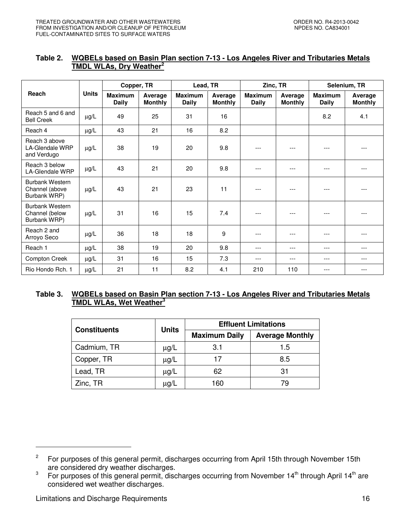#### **Table 2. WQBELs based on Basin Plan section 7-13 - Los Angeles River and Tributaries Metals TMDL WLAs, Dry Weather<sup>2</sup>**

|                                                          |              | Copper, TR              |                           | Lead, TR                       |                           | Zinc, TR                       |                           | Selenium, TR            |                           |
|----------------------------------------------------------|--------------|-------------------------|---------------------------|--------------------------------|---------------------------|--------------------------------|---------------------------|-------------------------|---------------------------|
| Reach                                                    | <b>Units</b> | <b>Maximum</b><br>Daily | Average<br><b>Monthly</b> | <b>Maximum</b><br><b>Daily</b> | Average<br><b>Monthly</b> | <b>Maximum</b><br><b>Daily</b> | Average<br><b>Monthly</b> | <b>Maximum</b><br>Daily | Average<br><b>Monthly</b> |
| Reach 5 and 6 and<br><b>Bell Creek</b>                   | $\mu$ g/L    | 49                      | 25                        | 31                             | 16                        |                                |                           | 8.2                     | 4.1                       |
| Reach 4                                                  | µg/L         | 43                      | 21                        | 16                             | 8.2                       |                                |                           |                         |                           |
| Reach 3 above<br><b>LA-Glendale WRP</b><br>and Verdugo   | $\mu$ g/L    | 38                      | 19                        | 20                             | 9.8                       | ---                            |                           |                         |                           |
| Reach 3 below<br><b>LA-Glendale WRP</b>                  | $\mu$ g/L    | 43                      | 21                        | 20                             | 9.8                       | ---                            | ---                       |                         |                           |
| <b>Burbank Western</b><br>Channel (above<br>Burbank WRP) | $\mu$ g/L    | 43                      | 21                        | 23                             | 11                        | ---                            | $- - -$                   |                         |                           |
| Burbank Western<br>Channel (below<br>Burbank WRP)        | $\mu$ g/L    | 31                      | 16                        | 15                             | 7.4                       | $---$                          | ---                       | $---$                   |                           |
| Reach 2 and<br>Arroyo Seco                               | $\mu$ g/L    | 36                      | 18                        | 18                             | 9                         | ---                            | ---                       | ---                     | ---                       |
| Reach 1                                                  | $\mu$ g/L    | 38                      | 19                        | 20                             | 9.8                       | ---                            | ---                       | $---$                   | ---                       |
| Compton Creek                                            | $\mu$ g/L    | 31                      | 16                        | 15                             | 7.3                       | $---$                          | $---$                     | $---$                   | ---                       |
| Rio Hondo Rch. 1                                         | $\mu$ g/L    | 21                      | 11                        | 8.2                            | 4.1                       | 210                            | 110                       | ---                     | ---                       |

## **Table 3. WQBELs based on Basin Plan section 7-13 - Los Angeles River and Tributaries Metals TMDL WLAs, Wet Weather<sup>3</sup>**

|                     |              | <b>Effluent Limitations</b> |                        |  |
|---------------------|--------------|-----------------------------|------------------------|--|
| <b>Constituents</b> | <b>Units</b> | <b>Maximum Daily</b>        | <b>Average Monthly</b> |  |
| Cadmium, TR         | $\mu$ g/L    | 3.1                         | 1.5                    |  |
| Copper, TR          | $\mu$ g/L    | 17                          | 8.5                    |  |
| Lead, TR            | $\mu$ g/L    | 62                          | 31                     |  |
| Zinc, TR            | μg/L         | 160                         | 79                     |  |

<sup>2</sup> For purposes of this general permit, discharges occurring from April 15th through November 15th are considered dry weather discharges.

<sup>3</sup> For purposes of this general permit, discharges occurring from November 14<sup>th</sup> through April 14<sup>th</sup> are considered wet weather discharges.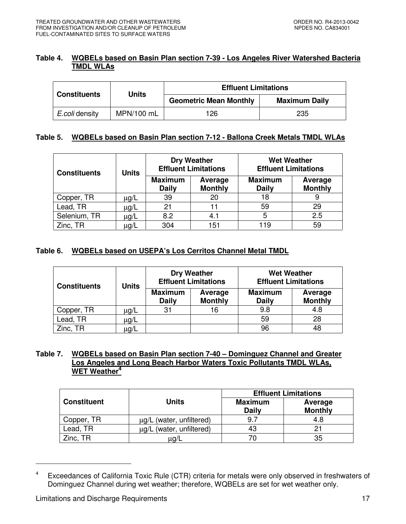## **Table 4. WQBELs based on Basin Plan section 7-39 - Los Angeles River Watershed Bacteria TMDL WLAs**

| <b>Constituents</b> | <b>Units</b> | <b>Effluent Limitations</b>   |                      |  |  |
|---------------------|--------------|-------------------------------|----------------------|--|--|
|                     |              | <b>Geometric Mean Monthly</b> | <b>Maximum Daily</b> |  |  |
| E.coli density      | MPN/100 mL   | 126                           | 235                  |  |  |

## **Table 5. WQBELs based on Basin Plan section 7-12 - Ballona Creek Metals TMDL WLAs**

| <b>Constituents</b> | <b>Units</b> |                                | <b>Dry Weather</b><br><b>Effluent Limitations</b> | <b>Wet Weather</b><br><b>Effluent Limitations</b> |                           |  |
|---------------------|--------------|--------------------------------|---------------------------------------------------|---------------------------------------------------|---------------------------|--|
|                     |              | <b>Maximum</b><br><b>Daily</b> | Average<br><b>Monthly</b>                         | <b>Maximum</b><br><b>Daily</b>                    | Average<br><b>Monthly</b> |  |
| Copper, TR          | $\mu$ g/L    | 39                             | 20                                                | 18                                                | 9                         |  |
| Lead, TR            | µg/L         | 21                             |                                                   | 59                                                | 29                        |  |
| Selenium, TR        | $\mu$ g/L    | 8.2                            | 4.1                                               | 5                                                 | 2.5                       |  |
| Zinc, TR            | μg/L         | 304                            | 151                                               | 119                                               | 59                        |  |

## **Table 6. WQBELs based on USEPA's Los Cerritos Channel Metal TMDL**

| <b>Constituents</b> | <b>Units</b> |                                | <b>Dry Weather</b><br><b>Effluent Limitations</b> | <b>Wet Weather</b><br><b>Effluent Limitations</b> |                           |  |
|---------------------|--------------|--------------------------------|---------------------------------------------------|---------------------------------------------------|---------------------------|--|
|                     |              | <b>Maximum</b><br><b>Daily</b> | Average<br><b>Monthly</b>                         | <b>Maximum</b><br><b>Daily</b>                    | Average<br><b>Monthly</b> |  |
| Copper, TR          | $\mu$ g/L    | 31                             | 16                                                | 9.8                                               | 4.8                       |  |
| Lead, TR            | μg/L         |                                |                                                   | 59                                                | 28                        |  |
| Zinc, TR            | µg/L         |                                |                                                   | 96                                                | 48                        |  |

## **Table 7. WQBELs based on Basin Plan section 7-40 – Dominguez Channel and Greater Los Angeles and Long Beach Harbor Waters Toxic Pollutants TMDL WLAs, WET Weather<sup>4</sup>**

|                    |                               | <b>Effluent Limitations</b> |                           |  |  |
|--------------------|-------------------------------|-----------------------------|---------------------------|--|--|
| <b>Constituent</b> | <b>Units</b>                  |                             | Average<br><b>Monthly</b> |  |  |
| Copper, TR         | $\mu$ g/L (water, unfiltered) | 9.                          | 4.8                       |  |  |
| Lead, TR           | $\mu$ g/L (water, unfiltered) | 43                          |                           |  |  |
| Zinc, TR           | µg/L                          |                             | 35                        |  |  |

<sup>4</sup> Exceedances of California Toxic Rule (CTR) criteria for metals were only observed in freshwaters of Dominguez Channel during wet weather; therefore, WQBELs are set for wet weather only.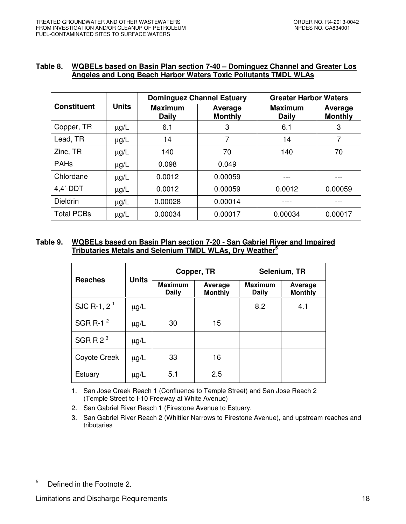#### **Table 8. WQBELs based on Basin Plan section 7-40 – Dominguez Channel and Greater Los Angeles and Long Beach Harbor Waters Toxic Pollutants TMDL WLAs**

|                    |              | <b>Dominguez Channel Estuary</b> |                           | <b>Greater Harbor Waters</b>   |                           |
|--------------------|--------------|----------------------------------|---------------------------|--------------------------------|---------------------------|
| <b>Constituent</b> | <b>Units</b> | <b>Maximum</b><br><b>Daily</b>   | Average<br><b>Monthly</b> | <b>Maximum</b><br><b>Daily</b> | Average<br><b>Monthly</b> |
| Copper, TR         | $\mu$ g/L    | 6.1                              | 3                         | 6.1                            | 3                         |
| Lead, TR           | $\mu$ g/L    | 14                               | 7                         | 14                             | 7                         |
| Zinc, TR           | $\mu$ g/L    | 140                              | 70                        | 140                            | 70                        |
| <b>PAHs</b>        | $\mu$ g/L    | 0.098                            | 0.049                     |                                |                           |
| Chlordane          | $\mu$ g/L    | 0.0012                           | 0.00059                   |                                |                           |
| $4.4'$ -DDT        | $\mu$ g/L    | 0.0012                           | 0.00059                   | 0.0012                         | 0.00059                   |
| <b>Dieldrin</b>    | $\mu$ g/L    | 0.00028                          | 0.00014                   |                                |                           |
| <b>Total PCBs</b>  | $\mu$ g/L    | 0.00034                          | 0.00017                   | 0.00034                        | 0.00017                   |

## **Table 9. WQBELs based on Basin Plan section 7-20 - San Gabriel River and Impaired Tributaries Metals and Selenium TMDL WLAs, Dry Weather<sup>5</sup>**

| <b>Reaches</b> | <b>Units</b> |                                | Copper, TR                | Selenium, TR                   |                           |  |
|----------------|--------------|--------------------------------|---------------------------|--------------------------------|---------------------------|--|
|                |              | <b>Maximum</b><br><b>Daily</b> | Average<br><b>Monthly</b> | <b>Maximum</b><br><b>Daily</b> | Average<br><b>Monthly</b> |  |
| SJC R-1, $2^1$ | $\mu$ g/L    |                                |                           | 8.2                            | 4.1                       |  |
| SGR R-1 $2$    | $\mu$ g/L    | 30                             | 15                        |                                |                           |  |
| SGR R $23$     | $\mu$ g/L    |                                |                           |                                |                           |  |
| Coyote Creek   | $\mu$ g/L    | 33                             | 16                        |                                |                           |  |
| <b>Estuary</b> | $\mu$ g/L    | 5.1                            | 2.5                       |                                |                           |  |

1. San Jose Creek Reach 1 (Confluence to Temple Street) and San Jose Reach 2 (Temple Street to I-10 Freeway at White Avenue)

2. San Gabriel River Reach 1 (Firestone Avenue to Estuary.

3. San Gabriel River Reach 2 (Whittier Narrows to Firestone Avenue), and upstream reaches and tributaries

<sup>5</sup> Defined in the Footnote 2.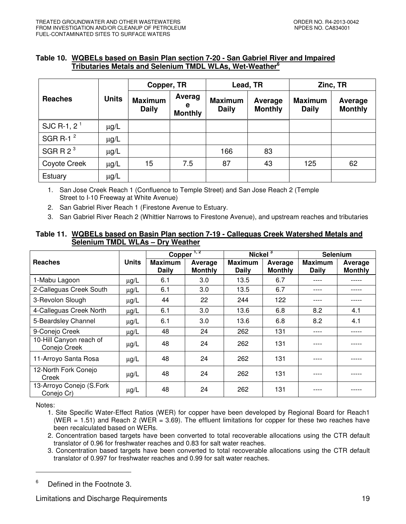## **Table 10. WQBELs based on Basin Plan section 7-20 - San Gabriel River and Impaired Tributaries Metals and Selenium TMDL WLAs, Wet-Weather<sup>6</sup>**

|                |              | Copper, TR                     |                               | Lead, TR                       |                           | Zinc, TR                       |                           |
|----------------|--------------|--------------------------------|-------------------------------|--------------------------------|---------------------------|--------------------------------|---------------------------|
| <b>Reaches</b> | <b>Units</b> | <b>Maximum</b><br><b>Daily</b> | Averag<br>е<br><b>Monthly</b> | <b>Maximum</b><br><b>Daily</b> | Average<br><b>Monthly</b> | <b>Maximum</b><br><b>Daily</b> | Average<br><b>Monthly</b> |
| SJC R-1, $2^1$ | $\mu$ g/L    |                                |                               |                                |                           |                                |                           |
| SGR R-1 $2$    | $\mu$ g/L    |                                |                               |                                |                           |                                |                           |
| SGRR $2^3$     | $\mu$ g/L    |                                |                               | 166                            | 83                        |                                |                           |
| Coyote Creek   | $\mu$ g/L    | 15                             | 7.5                           | 87                             | 43                        | 125                            | 62                        |
| Estuary        | $\mu$ g/L    |                                |                               |                                |                           |                                |                           |

1. San Jose Creek Reach 1 (Confluence to Temple Street) and San Jose Reach 2 (Temple Street to I-10 Freeway at White Avenue)

2. San Gabriel River Reach 1 (Firestone Avenue to Estuary.

3. San Gabriel River Reach 2 (Whittier Narrows to Firestone Avenue), and upstream reaches and tributaries

#### **Table 11. WQBELs based on Basin Plan section 7-19 - Calleguas Creek Watershed Metals and Selenium TMDL WLAs – Dry Weather**

|                                         |              | 1, 2<br>Copper          |                           | Nickel $3$                     |                           | <b>Selenium</b>                |                           |
|-----------------------------------------|--------------|-------------------------|---------------------------|--------------------------------|---------------------------|--------------------------------|---------------------------|
| <b>Reaches</b>                          | <b>Units</b> | <b>Maximum</b><br>Daily | Average<br><b>Monthly</b> | <b>Maximum</b><br><b>Daily</b> | Average<br><b>Monthly</b> | <b>Maximum</b><br><b>Daily</b> | Average<br><b>Monthly</b> |
| 1-Mabu Lagoon                           | $\mu g/L$    | 6.1                     | 3.0                       | 13.5                           | 6.7                       | ----                           |                           |
| 2-Calleguas Creek South                 | $\mu$ g/L    | 6.1                     | 3.0                       | 13.5                           | 6.7                       | ----                           |                           |
| 3-Revolon Slough                        | $\mu$ g/L    | 44                      | 22                        | 244                            | 122                       |                                |                           |
| 4-Calleguas Creek North                 | $\mu$ g/L    | 6.1                     | 3.0                       | 13.6                           | 6.8                       | 8.2                            | 4.1                       |
| 5-Beardsley Channel                     | $\mu$ g/L    | 6.1                     | 3.0                       | 13.6                           | 6.8                       | 8.2                            | 4.1                       |
| 9-Conejo Creek                          | $\mu$ g/L    | 48                      | 24                        | 262                            | 131                       | ----                           | -----                     |
| 10-Hill Canyon reach of<br>Conejo Creek | $\mu$ g/L    | 48                      | 24                        | 262                            | 131                       |                                |                           |
| 11-Arroyo Santa Rosa                    | $\mu$ g/L    | 48                      | 24                        | 262                            | 131                       |                                |                           |
| 12-North Fork Conejo<br>Creek           | $\mu$ g/L    | 48                      | 24                        | 262                            | 131                       | ----                           |                           |
| 13-Arroyo Conejo (S.Fork<br>Conejo Cr)  | $\mu$ g/L    | 48                      | 24                        | 262                            | 131                       |                                |                           |

Notes:

-

1. Site Specific Water-Effect Ratios (WER) for copper have been developed by Regional Board for Reach1 (WER  $= 1.51$ ) and Reach 2 (WER  $= 3.69$ ). The effluent limitations for copper for these two reaches have been recalculated based on WERs.

2. Concentration based targets have been converted to total recoverable allocations using the CTR default translator of 0.96 for freshwater reaches and 0.83 for salt water reaches.

3. Concentration based targets have been converted to total recoverable allocations using the CTR default translator of 0.997 for freshwater reaches and 0.99 for salt water reaches.

<sup>6</sup> Defined in the Footnote 3.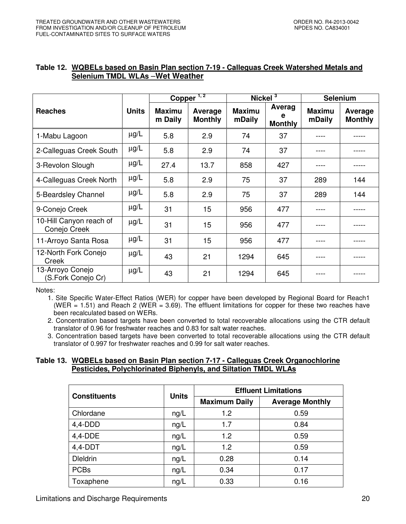|                                         |              | Copper <sup>1,2</sup>    |                           | Nickel $3$              |                               | <b>Selenium</b>         |                                  |
|-----------------------------------------|--------------|--------------------------|---------------------------|-------------------------|-------------------------------|-------------------------|----------------------------------|
| <b>Reaches</b>                          | <b>Units</b> | <b>Maximu</b><br>m Daily | Average<br><b>Monthly</b> | <b>Maximu</b><br>mDaily | Averag<br>е<br><b>Monthly</b> | <b>Maximu</b><br>mDaily | <b>Average</b><br><b>Monthly</b> |
| 1-Mabu Lagoon                           | $\mu$ g/L    | 5.8                      | 2.9                       | 74                      | 37                            |                         |                                  |
| 2-Calleguas Creek South                 | $\mu$ g/L    | 5.8                      | 2.9                       | 74                      | 37                            |                         |                                  |
| 3-Revolon Slough                        | $\mu$ g/L    | 27.4                     | 13.7                      | 858                     | 427                           |                         |                                  |
| 4-Calleguas Creek North                 | $\mu$ g/L    | 5.8                      | 2.9                       | 75                      | 37                            | 289                     | 144                              |
| 5-Beardsley Channel                     | $\mu$ g/L    | 5.8                      | 2.9                       | 75                      | 37                            | 289                     | 144                              |
| 9-Conejo Creek                          | $\mu$ g/L    | 31                       | 15                        | 956                     | 477                           |                         |                                  |
| 10-Hill Canyon reach of<br>Conejo Creek | $\mu$ g/L    | 31                       | 15                        | 956                     | 477                           |                         |                                  |
| 11-Arroyo Santa Rosa                    | $\mu$ g/L    | 31                       | 15                        | 956                     | 477                           |                         |                                  |
| 12-North Fork Conejo<br>Creek           | $\mu$ g/L    | 43                       | 21                        | 1294                    | 645                           |                         |                                  |
| 13-Arroyo Conejo<br>(S.Fork Conejo Cr)  | $\mu$ g/L    | 43                       | 21                        | 1294                    | 645                           |                         |                                  |

#### **Table 12. WQBELs based on Basin Plan section 7-19 - Calleguas Creek Watershed Metals and Selenium TMDL WLAs** –**Wet Weather**

Notes:

1. Site Specific Water-Effect Ratios (WER) for copper have been developed by Regional Board for Reach1 (WER = 1.51) and Reach 2 (WER = 3.69). The effluent limitations for copper for these two reaches have been recalculated based on WERs.

2. Concentration based targets have been converted to total recoverable allocations using the CTR default translator of 0.96 for freshwater reaches and 0.83 for salt water reaches.

3. Concentration based targets have been converted to total recoverable allocations using the CTR default translator of 0.997 for freshwater reaches and 0.99 for salt water reaches.

## **Table 13. WQBELs based on Basin Plan section 7-17 - Calleguas Creek Organochlorine Pesticides, Polychlorinated Biphenyls, and Siltation TMDL WLAs**

| <b>Constituents</b> | <b>Units</b> | <b>Effluent Limitations</b> |                        |  |
|---------------------|--------------|-----------------------------|------------------------|--|
|                     |              | <b>Maximum Daily</b>        | <b>Average Monthly</b> |  |
| Chlordane           | ng/L         | 1.2                         | 0.59                   |  |
| $4,4$ -DDD          | ng/L         | 1.7                         | 0.84                   |  |
| 4,4-DDE             | ng/L         | 1.2                         | 0.59                   |  |
| $4,4$ -DDT          | ng/L         | 1.2                         | 0.59                   |  |
| <b>Dieldrin</b>     | ng/L         | 0.28                        | 0.14                   |  |
| <b>PCBs</b>         | ng/L         | 0.34                        | 0.17                   |  |
| Toxaphene           | ng/L         | 0.33                        | 0.16                   |  |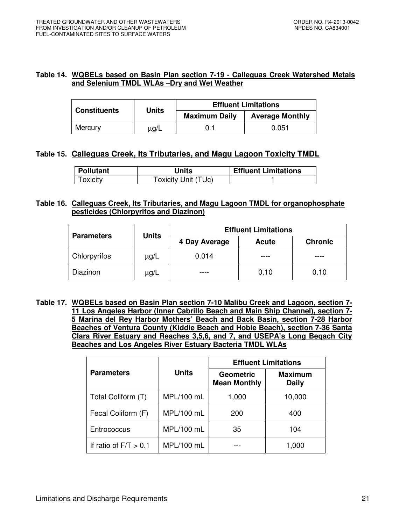## **Table 14. WQBELs based on Basin Plan section 7-19 - Calleguas Creek Watershed Metals and Selenium TMDL WLAs** –**Dry and Wet Weather**

| <b>Constituents</b> | <b>Units</b> | <b>Effluent Limitations</b> |                        |  |
|---------------------|--------------|-----------------------------|------------------------|--|
|                     |              | <b>Maximum Daily</b>        | <b>Average Monthly</b> |  |
| Mercury             | μg/L         | 0.1                         | 0.051                  |  |

# **Table 15. Calleguas Creek, Its Tributaries, and Magu Lagoon Toxicity TMDL**

| <b>Pollutant</b> | <b>Units</b>        | <b>Effluent Limitations</b> |
|------------------|---------------------|-----------------------------|
| Toxicity         | Toxicity Unit (TUc) |                             |

## **Table 16. Calleguas Creek, Its Tributaries, and Magu Lagoon TMDL for organophosphate pesticides (Chlorpyrifos and Diazinon)**

| <b>Units</b><br><b>Parameters</b> |           | <b>Effluent Limitations</b> |              |                |  |  |
|-----------------------------------|-----------|-----------------------------|--------------|----------------|--|--|
|                                   |           | 4 Day Average               | <b>Acute</b> | <b>Chronic</b> |  |  |
| <b>Chlorpyrifos</b>               | µg/L      | 0.014                       |              |                |  |  |
| Diazinon                          | $\mu$ g/L |                             | 0.10         | 0.10           |  |  |

**Table 17. WQBELs based on Basin Plan section 7-10 Malibu Creek and Lagoon, section 7- 11 Los Angeles Harbor (Inner Cabrillo Beach and Main Ship Channel), section 7- 5 Marina del Rey Harbor Mothers' Beach and Back Basin, section 7-28 Harbor Beaches of Ventura County (Kiddie Beach and Hobie Beach), section 7-36 Santa Clara River Estuary and Reaches 3,5,6, and 7, and USEPA's Long Beqach City Beaches and Los Angeles River Estuary Bacteria TMDL WLAs** 

|                         |              | <b>Effluent Limitations</b>             |                                |  |  |
|-------------------------|--------------|-----------------------------------------|--------------------------------|--|--|
| <b>Parameters</b>       | <b>Units</b> | <b>Geometric</b><br><b>Mean Monthly</b> | <b>Maximum</b><br><b>Daily</b> |  |  |
| Total Coliform (T)      | MPL/100 mL   | 1,000                                   | 10,000                         |  |  |
| Fecal Coliform (F)      | MPL/100 mL   | 200                                     | 400                            |  |  |
| Entrococcus             | MPL/100 mL   | 35                                      | 104                            |  |  |
| If ratio of $F/T > 0.1$ | MPL/100 mL   |                                         | 1,000                          |  |  |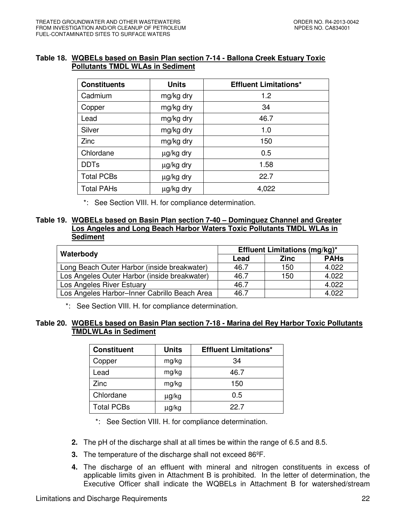## **Table 18. WQBELs based on Basin Plan section 7-14 - Ballona Creek Estuary Toxic Pollutants TMDL WLAs in Sediment**

| <b>Constituents</b> | <b>Units</b> | <b>Effluent Limitations*</b> |
|---------------------|--------------|------------------------------|
| Cadmium             | mg/kg dry    | 1.2                          |
| Copper              | mg/kg dry    | 34                           |
| Lead                | mg/kg dry    | 46.7                         |
| Silver              | mg/kg dry    | 1.0                          |
| Zinc                | mg/kg dry    | 150                          |
| Chlordane           | µg/kg dry    | 0.5                          |
| <b>DDTs</b>         | µg/kg dry    | 1.58                         |
| <b>Total PCBs</b>   | µg/kg dry    | 22.7                         |
| <b>Total PAHs</b>   | µg/kg dry    | 4,022                        |

\*: See Section VIII. H. for compliance determination.

## **Table 19. WQBELs based on Basin Plan section 7-40 – Dominguez Channel and Greater Los Angeles and Long Beach Harbor Waters Toxic Pollutants TMDL WLAs in Sediment**

|                                              | <b>Effluent Limitations (mg/kg)*</b> |             |             |  |  |
|----------------------------------------------|--------------------------------------|-------------|-------------|--|--|
| Waterbody                                    | Lead                                 | <b>Zinc</b> | <b>PAHs</b> |  |  |
| Long Beach Outer Harbor (inside breakwater)  | 46.7                                 | 150         | 4.022       |  |  |
| Los Angeles Outer Harbor (inside breakwater) | 46.7                                 | 150         | 4.022       |  |  |
| Los Angeles River Estuary                    | 46.7                                 |             | 4.022       |  |  |
| Los Angeles Harbor-Inner Cabrillo Beach Area | 46.7                                 |             | 4.022       |  |  |

\*: See Section VIII. H. for compliance determination.

## **Table 20. WQBELs based on Basin Plan section 7-18 - Marina del Rey Harbor Toxic Pollutants TMDLWLAs in Sediment**

| <b>Constituent</b> | <b>Units</b> | <b>Effluent Limitations*</b> |
|--------------------|--------------|------------------------------|
| Copper             | mg/kg        | 34                           |
| Lead               | mg/kg        | 46.7                         |
| Zinc               | mg/kg        | 150                          |
| Chlordane          | µg/kg        | 0.5                          |
| <b>Total PCBs</b>  | μg/kg        | 22.7                         |

\*: See Section VIII. H. for compliance determination.

- **2.** The pH of the discharge shall at all times be within the range of 6.5 and 8.5.
- **3.** The temperature of the discharge shall not exceed 86ºF.
- **4.** The discharge of an effluent with mineral and nitrogen constituents in excess of applicable limits given in Attachment B is prohibited. In the letter of determination, the Executive Officer shall indicate the WQBELs in Attachment B for watershed/stream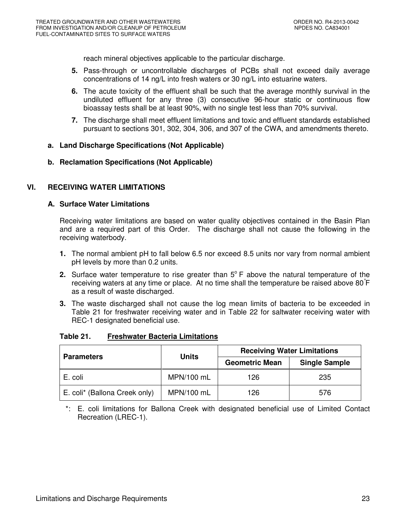reach mineral objectives applicable to the particular discharge.

- **5.** Pass-through or uncontrollable discharges of PCBs shall not exceed daily average concentrations of 14 ng/L into fresh waters or 30 ng/L into estuarine waters.
- **6.** The acute toxicity of the effluent shall be such that the average monthly survival in the undiluted effluent for any three (3) consecutive 96-hour static or continuous flow bioassay tests shall be at least 90%, with no single test less than 70% survival.
- **7.** The discharge shall meet effluent limitations and toxic and effluent standards established pursuant to sections 301, 302, 304, 306, and 307 of the CWA, and amendments thereto.

## **a. Land Discharge Specifications (Not Applicable)**

**b. Reclamation Specifications (Not Applicable)** 

# **VI. RECEIVING WATER LIMITATIONS**

## **A. Surface Water Limitations**

Receiving water limitations are based on water quality objectives contained in the Basin Plan and are a required part of this Order. The discharge shall not cause the following in the receiving waterbody.

- **1.** The normal ambient pH to fall below 6.5 nor exceed 8.5 units nor vary from normal ambient pH levels by more than 0.2 units.
- **2.** Surface water temperature to rise greater than  $5^\circ$  F above the natural temperature of the receiving waters at any time or place. At no time shall the temperature be raised above 80°F as a result of waste discharged.
- **3.** The waste discharged shall not cause the log mean limits of bacteria to be exceeded in Table 21 for freshwater receiving water and in Table 22 for saltwater receiving water with REC-1 designated beneficial use.

| <b>Parameters</b>             | <b>Units</b> | <b>Receiving Water Limitations</b> |                      |  |
|-------------------------------|--------------|------------------------------------|----------------------|--|
|                               |              | <b>Geometric Mean</b>              | <b>Single Sample</b> |  |
| E. coli                       | MPN/100 mL   | 126                                | 235                  |  |
| E. coli* (Ballona Creek only) | MPN/100 mL   | 126                                | 576                  |  |

#### **Table 21. Freshwater Bacteria Limitations**

\*: E. coli limitations for Ballona Creek with designated beneficial use of Limited Contact Recreation (LREC-1).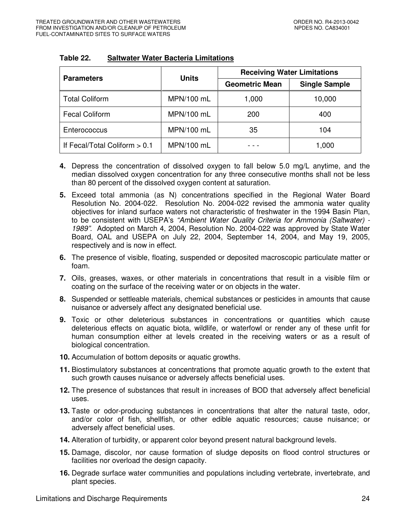| <b>Parameters</b>               | <b>Units</b> | <b>Receiving Water Limitations</b> |                      |  |
|---------------------------------|--------------|------------------------------------|----------------------|--|
|                                 |              | <b>Geometric Mean</b>              | <b>Single Sample</b> |  |
| <b>Total Coliform</b>           | MPN/100 mL   | 1,000                              | 10,000               |  |
| <b>Fecal Coliform</b>           | MPN/100 mL   | 200                                | 400                  |  |
| Enterococcus                    | MPN/100 mL   | 35                                 | 104                  |  |
| If Fecal/Total Coliform $> 0.1$ | MPN/100 mL   |                                    | 1,000                |  |

## **Table 22. Saltwater Water Bacteria Limitations**

- **4.** Depress the concentration of dissolved oxygen to fall below 5.0 mg/L anytime, and the median dissolved oxygen concentration for any three consecutive months shall not be less than 80 percent of the dissolved oxygen content at saturation.
- **5.** Exceed total ammonia (as N) concentrations specified in the Regional Water Board Resolution No. 2004-022. Resolution No. 2004-022 revised the ammonia water quality objectives for inland surface waters not characteristic of freshwater in the 1994 Basin Plan, to be consistent with USEPA's "Ambient Water Quality Criteria for Ammonia (Saltwater) -1989". Adopted on March 4, 2004, Resolution No. 2004-022 was approved by State Water Board, OAL and USEPA on July 22, 2004, September 14, 2004, and May 19, 2005, respectively and is now in effect.
- **6.** The presence of visible, floating, suspended or deposited macroscopic particulate matter or foam.
- **7.** Oils, greases, waxes, or other materials in concentrations that result in a visible film or coating on the surface of the receiving water or on objects in the water.
- **8.** Suspended or settleable materials, chemical substances or pesticides in amounts that cause nuisance or adversely affect any designated beneficial use.
- **9.** Toxic or other deleterious substances in concentrations or quantities which cause deleterious effects on aquatic biota, wildlife, or waterfowl or render any of these unfit for human consumption either at levels created in the receiving waters or as a result of biological concentration.
- **10.** Accumulation of bottom deposits or aquatic growths.
- **11.** Biostimulatory substances at concentrations that promote aquatic growth to the extent that such growth causes nuisance or adversely affects beneficial uses.
- **12.** The presence of substances that result in increases of BOD that adversely affect beneficial uses.
- 13. Taste or odor-producing substances in concentrations that alter the natural taste, odor, and/or color of fish, shellfish, or other edible aquatic resources; cause nuisance; or adversely affect beneficial uses.
- **14.** Alteration of turbidity, or apparent color beyond present natural background levels.
- **15.** Damage, discolor, nor cause formation of sludge deposits on flood control structures or facilities nor overload the design capacity.
- **16.** Degrade surface water communities and populations including vertebrate, invertebrate, and plant species.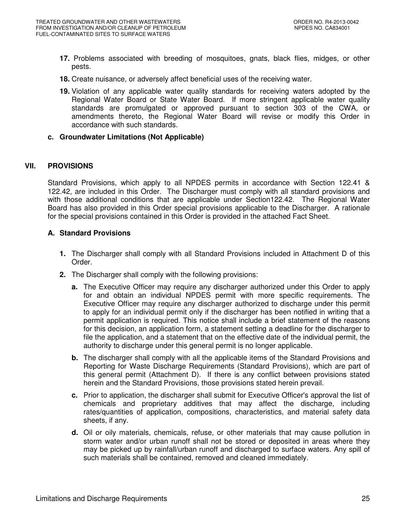- **17.** Problems associated with breeding of mosquitoes, gnats, black flies, midges, or other pests.
- **18.** Create nuisance, or adversely affect beneficial uses of the receiving water.
- **19.** Violation of any applicable water quality standards for receiving waters adopted by the Regional Water Board or State Water Board. If more stringent applicable water quality standards are promulgated or approved pursuant to section 303 of the CWA, or amendments thereto, the Regional Water Board will revise or modify this Order in accordance with such standards.

#### **c. Groundwater Limitations (Not Applicable)**

## **VII. PROVISIONS**

Standard Provisions, which apply to all NPDES permits in accordance with Section 122.41 & 122.42, are included in this Order. The Discharger must comply with all standard provisions and with those additional conditions that are applicable under Section122.42. The Regional Water Board has also provided in this Order special provisions applicable to the Discharger. A rationale for the special provisions contained in this Order is provided in the attached Fact Sheet.

## **A. Standard Provisions**

- **1.** The Discharger shall comply with all Standard Provisions included in Attachment D of this Order.
- **2.** The Discharger shall comply with the following provisions:
	- **a.** The Executive Officer may require any discharger authorized under this Order to apply for and obtain an individual NPDES permit with more specific requirements. The Executive Officer may require any discharger authorized to discharge under this permit to apply for an individual permit only if the discharger has been notified in writing that a permit application is required. This notice shall include a brief statement of the reasons for this decision, an application form, a statement setting a deadline for the discharger to file the application, and a statement that on the effective date of the individual permit, the authority to discharge under this general permit is no longer applicable.
	- **b.** The discharger shall comply with all the applicable items of the Standard Provisions and Reporting for Waste Discharge Requirements (Standard Provisions), which are part of this general permit (Attachment D). If there is any conflict between provisions stated herein and the Standard Provisions, those provisions stated herein prevail.
	- **c.** Prior to application, the discharger shall submit for Executive Officer's approval the list of chemicals and proprietary additives that may affect the discharge, including rates/quantities of application, compositions, characteristics, and material safety data sheets, if any.
	- **d.** Oil or oily materials, chemicals, refuse, or other materials that may cause pollution in storm water and/or urban runoff shall not be stored or deposited in areas where they may be picked up by rainfall/urban runoff and discharged to surface waters. Any spill of such materials shall be contained, removed and cleaned immediately.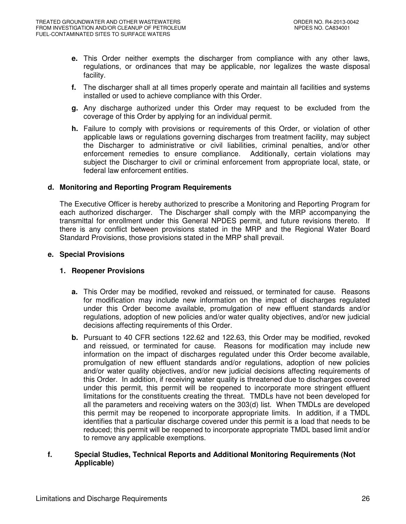- **e.** This Order neither exempts the discharger from compliance with any other laws, regulations, or ordinances that may be applicable, nor legalizes the waste disposal facility.
- **f.** The discharger shall at all times properly operate and maintain all facilities and systems installed or used to achieve compliance with this Order.
- **g.** Any discharge authorized under this Order may request to be excluded from the coverage of this Order by applying for an individual permit.
- **h.** Failure to comply with provisions or requirements of this Order, or violation of other applicable laws or regulations governing discharges from treatment facility, may subject the Discharger to administrative or civil liabilities, criminal penalties, and/or other enforcement remedies to ensure compliance. Additionally, certain violations may subject the Discharger to civil or criminal enforcement from appropriate local, state, or federal law enforcement entities.

## **d. Monitoring and Reporting Program Requirements**

The Executive Officer is hereby authorized to prescribe a Monitoring and Reporting Program for each authorized discharger. The Discharger shall comply with the MRP accompanying the transmittal for enrollment under this General NPDES permit, and future revisions thereto. If there is any conflict between provisions stated in the MRP and the Regional Water Board Standard Provisions, those provisions stated in the MRP shall prevail.

#### **e. Special Provisions**

## **1. Reopener Provisions**

- **a.** This Order may be modified, revoked and reissued, or terminated for cause. Reasons for modification may include new information on the impact of discharges regulated under this Order become available, promulgation of new effluent standards and/or regulations, adoption of new policies and/or water quality objectives, and/or new judicial decisions affecting requirements of this Order.
- **b.** Pursuant to 40 CFR sections 122.62 and 122.63, this Order may be modified, revoked and reissued, or terminated for cause. Reasons for modification may include new information on the impact of discharges regulated under this Order become available, promulgation of new effluent standards and/or regulations, adoption of new policies and/or water quality objectives, and/or new judicial decisions affecting requirements of this Order. In addition, if receiving water quality is threatened due to discharges covered under this permit, this permit will be reopened to incorporate more stringent effluent limitations for the constituents creating the threat. TMDLs have not been developed for all the parameters and receiving waters on the 303(d) list. When TMDLs are developed this permit may be reopened to incorporate appropriate limits. In addition, if a TMDL identifies that a particular discharge covered under this permit is a load that needs to be reduced; this permit will be reopened to incorporate appropriate TMDL based limit and/or to remove any applicable exemptions.

#### **f. Special Studies, Technical Reports and Additional Monitoring Requirements (Not Applicable)**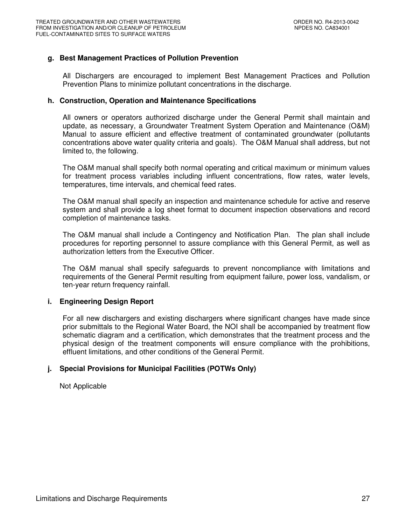## **g. Best Management Practices of Pollution Prevention**

All Dischargers are encouraged to implement Best Management Practices and Pollution Prevention Plans to minimize pollutant concentrations in the discharge.

#### **h. Construction, Operation and Maintenance Specifications**

All owners or operators authorized discharge under the General Permit shall maintain and update, as necessary, a Groundwater Treatment System Operation and Maintenance (O&M) Manual to assure efficient and effective treatment of contaminated groundwater (pollutants concentrations above water quality criteria and goals). The O&M Manual shall address, but not limited to, the following.

The O&M manual shall specify both normal operating and critical maximum or minimum values for treatment process variables including influent concentrations, flow rates, water levels, temperatures, time intervals, and chemical feed rates.

The O&M manual shall specify an inspection and maintenance schedule for active and reserve system and shall provide a log sheet format to document inspection observations and record completion of maintenance tasks.

The O&M manual shall include a Contingency and Notification Plan. The plan shall include procedures for reporting personnel to assure compliance with this General Permit, as well as authorization letters from the Executive Officer.

The O&M manual shall specify safeguards to prevent noncompliance with limitations and requirements of the General Permit resulting from equipment failure, power loss, vandalism, or ten-year return frequency rainfall.

#### **i. Engineering Design Report**

For all new dischargers and existing dischargers where significant changes have made since prior submittals to the Regional Water Board, the NOI shall be accompanied by treatment flow schematic diagram and a certification, which demonstrates that the treatment process and the physical design of the treatment components will ensure compliance with the prohibitions, effluent limitations, and other conditions of the General Permit.

## **j. Special Provisions for Municipal Facilities (POTWs Only)**

Not Applicable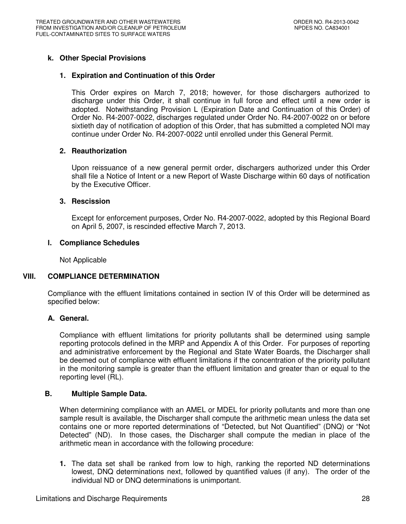## **k. Other Special Provisions**

## **1. Expiration and Continuation of this Order**

This Order expires on March 7, 2018; however, for those dischargers authorized to discharge under this Order, it shall continue in full force and effect until a new order is adopted. Notwithstanding Provision L (Expiration Date and Continuation of this Order) of Order No. R4-2007-0022, discharges regulated under Order No. R4-2007-0022 on or before sixtieth day of notification of adoption of this Order, that has submitted a completed NOI may continue under Order No. R4-2007-0022 until enrolled under this General Permit.

## **2. Reauthorization**

Upon reissuance of a new general permit order, dischargers authorized under this Order shall file a Notice of Intent or a new Report of Waste Discharge within 60 days of notification by the Executive Officer.

#### **3. Rescission**

Except for enforcement purposes, Order No. R4-2007-0022, adopted by this Regional Board on April 5, 2007, is rescinded effective March 7, 2013.

#### **l. Compliance Schedules**

Not Applicable

## **VIII. COMPLIANCE DETERMINATION**

Compliance with the effluent limitations contained in section IV of this Order will be determined as specified below:

## **A. General.**

Compliance with effluent limitations for priority pollutants shall be determined using sample reporting protocols defined in the MRP and Appendix A of this Order. For purposes of reporting and administrative enforcement by the Regional and State Water Boards, the Discharger shall be deemed out of compliance with effluent limitations if the concentration of the priority pollutant in the monitoring sample is greater than the effluent limitation and greater than or equal to the reporting level (RL).

#### **B. Multiple Sample Data.**

When determining compliance with an AMEL or MDEL for priority pollutants and more than one sample result is available, the Discharger shall compute the arithmetic mean unless the data set contains one or more reported determinations of "Detected, but Not Quantified" (DNQ) or "Not Detected" (ND). In those cases, the Discharger shall compute the median in place of the arithmetic mean in accordance with the following procedure:

**1.** The data set shall be ranked from low to high, ranking the reported ND determinations lowest, DNQ determinations next, followed by quantified values (if any). The order of the individual ND or DNQ determinations is unimportant.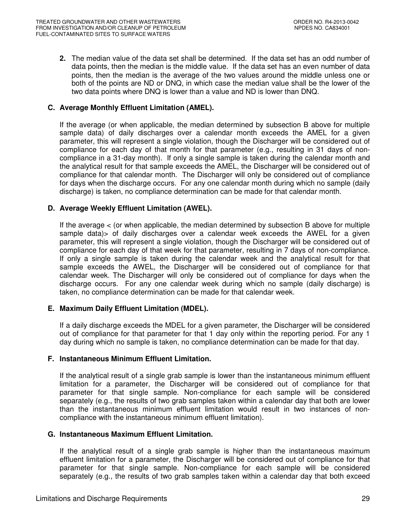**2.** The median value of the data set shall be determined. If the data set has an odd number of data points, then the median is the middle value. If the data set has an even number of data points, then the median is the average of the two values around the middle unless one or both of the points are ND or DNQ, in which case the median value shall be the lower of the two data points where DNQ is lower than a value and ND is lower than DNQ.

## **C. Average Monthly Effluent Limitation (AMEL).**

If the average (or when applicable, the median determined by subsection B above for multiple sample data) of daily discharges over a calendar month exceeds the AMEL for a given parameter, this will represent a single violation, though the Discharger will be considered out of compliance for each day of that month for that parameter (e.g., resulting in 31 days of noncompliance in a 31-day month). If only a single sample is taken during the calendar month and the analytical result for that sample exceeds the AMEL, the Discharger will be considered out of compliance for that calendar month. The Discharger will only be considered out of compliance for days when the discharge occurs. For any one calendar month during which no sample (daily discharge) is taken, no compliance determination can be made for that calendar month.

## **D. Average Weekly Effluent Limitation (AWEL).**

If the average < (or when applicable, the median determined by subsection B above for multiple sample data)> of daily discharges over a calendar week exceeds the AWEL for a given parameter, this will represent a single violation, though the Discharger will be considered out of compliance for each day of that week for that parameter, resulting in 7 days of non-compliance. If only a single sample is taken during the calendar week and the analytical result for that sample exceeds the AWEL, the Discharger will be considered out of compliance for that calendar week. The Discharger will only be considered out of compliance for days when the discharge occurs. For any one calendar week during which no sample (daily discharge) is taken, no compliance determination can be made for that calendar week.

## **E. Maximum Daily Effluent Limitation (MDEL).**

If a daily discharge exceeds the MDEL for a given parameter, the Discharger will be considered out of compliance for that parameter for that 1 day only within the reporting period. For any 1 day during which no sample is taken, no compliance determination can be made for that day.

## **F. Instantaneous Minimum Effluent Limitation.**

If the analytical result of a single grab sample is lower than the instantaneous minimum effluent limitation for a parameter, the Discharger will be considered out of compliance for that parameter for that single sample. Non-compliance for each sample will be considered separately (e.g., the results of two grab samples taken within a calendar day that both are lower than the instantaneous minimum effluent limitation would result in two instances of noncompliance with the instantaneous minimum effluent limitation).

## **G. Instantaneous Maximum Effluent Limitation.**

If the analytical result of a single grab sample is higher than the instantaneous maximum effluent limitation for a parameter, the Discharger will be considered out of compliance for that parameter for that single sample. Non-compliance for each sample will be considered separately (e.g., the results of two grab samples taken within a calendar day that both exceed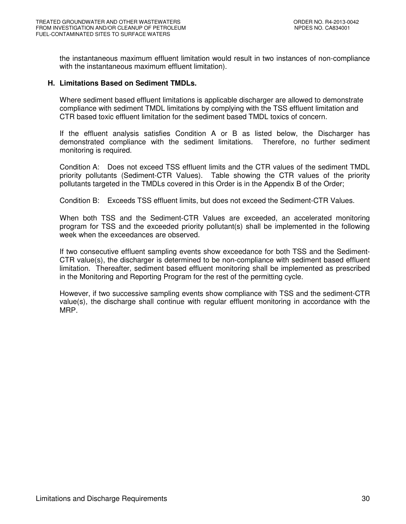the instantaneous maximum effluent limitation would result in two instances of non-compliance with the instantaneous maximum effluent limitation).

#### **H. Limitations Based on Sediment TMDLs.**

Where sediment based effluent limitations is applicable discharger are allowed to demonstrate compliance with sediment TMDL limitations by complying with the TSS effluent limitation and CTR based toxic effluent limitation for the sediment based TMDL toxics of concern.

If the effluent analysis satisfies Condition A or B as listed below, the Discharger has demonstrated compliance with the sediment limitations. Therefore, no further sediment monitoring is required.

Condition A: Does not exceed TSS effluent limits and the CTR values of the sediment TMDL priority pollutants (Sediment-CTR Values). Table showing the CTR values of the priority pollutants targeted in the TMDLs covered in this Order is in the Appendix B of the Order;

Condition B: Exceeds TSS effluent limits, but does not exceed the Sediment-CTR Values.

When both TSS and the Sediment-CTR Values are exceeded, an accelerated monitoring program for TSS and the exceeded priority pollutant(s) shall be implemented in the following week when the exceedances are observed.

If two consecutive effluent sampling events show exceedance for both TSS and the Sediment-CTR value(s), the discharger is determined to be non-compliance with sediment based effluent limitation. Thereafter, sediment based effluent monitoring shall be implemented as prescribed in the Monitoring and Reporting Program for the rest of the permitting cycle.

However, if two successive sampling events show compliance with TSS and the sediment-CTR value(s), the discharge shall continue with regular effluent monitoring in accordance with the MRP.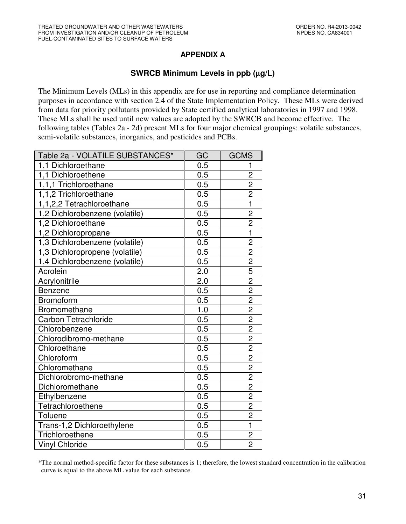# **APPENDIX A**

# **SWRCB Minimum Levels in ppb (**µ**g/L)**

The Minimum Levels (MLs) in this appendix are for use in reporting and compliance determination purposes in accordance with section 2.4 of the State Implementation Policy. These MLs were derived from data for priority pollutants provided by State certified analytical laboratories in 1997 and 1998. These MLs shall be used until new values are adopted by the SWRCB and become effective. The following tables (Tables 2a - 2d) present MLs for four major chemical groupings: volatile substances, semi-volatile substances, inorganics, and pesticides and PCBs.

| Table 2a - VOLATILE SUBSTANCES* | GC  | <b>GCMS</b>             |
|---------------------------------|-----|-------------------------|
| 1,1 Dichloroethane              | 0.5 |                         |
| 1,1 Dichloroethene              | 0.5 | $\overline{2}$          |
| 1,1,1 Trichloroethane           | 0.5 | $\overline{2}$          |
| 1,1,2 Trichloroethane           | 0.5 | $\overline{2}$          |
| 1,1,2,2 Tetrachloroethane       | 0.5 | $\mathbf{1}$            |
| 1,2 Dichlorobenzene (volatile)  | 0.5 | $\overline{2}$          |
| 1,2 Dichloroethane              | 0.5 | $\overline{2}$          |
| 1,2 Dichloropropane             | 0.5 | $\overline{\mathbf{1}}$ |
| 1,3 Dichlorobenzene (volatile)  | 0.5 | $\overline{c}$          |
| 1,3 Dichloropropene (volatile)  | 0.5 | $\overline{2}$          |
| 1,4 Dichlorobenzene (volatile)  | 0.5 | $\overline{2}$          |
| Acrolein                        | 2.0 | $\overline{5}$          |
| Acrylonitrile                   | 2.0 | $\overline{2}$          |
| <b>Benzene</b>                  | 0.5 | $\overline{2}$          |
| <b>Bromoform</b>                | 0.5 | $\overline{c}$          |
| Bromomethane                    | 1.0 | $\overline{2}$          |
| Carbon Tetrachloride            | 0.5 | $\overline{2}$          |
| Chlorobenzene                   | 0.5 | $\overline{2}$          |
| Chlorodibromo-methane           | 0.5 | $\overline{2}$          |
| Chloroethane                    | 0.5 | $\overline{c}$          |
| Chloroform                      | 0.5 | $\overline{2}$          |
| Chloromethane                   | 0.5 | $\overline{2}$          |
| Dichlorobromo-methane           | 0.5 | $\overline{2}$          |
| Dichloromethane                 | 0.5 | $\overline{2}$          |
| Ethylbenzene                    | 0.5 | $\overline{2}$          |
| Tetrachloroethene               | 0.5 | $\overline{c}$          |
| Toluene                         | 0.5 | $\overline{2}$          |
| Trans-1,2 Dichloroethylene      | 0.5 | $\overline{1}$          |
| Trichloroethene                 | 0.5 | $\overline{c}$          |
| <b>Vinyl Chloride</b>           | 0.5 | $\overline{2}$          |

\*The normal method-specific factor for these substances is 1; therefore, the lowest standard concentration in the calibration curve is equal to the above ML value for each substance.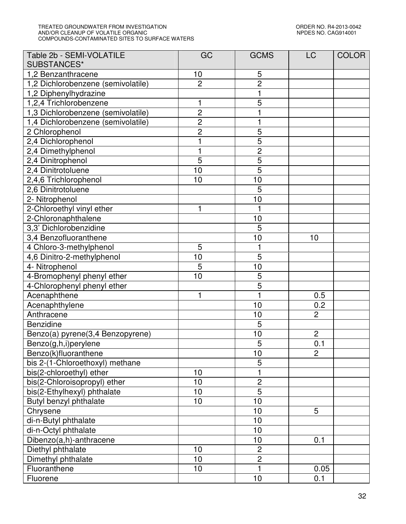#### TREATED GROUNDWATER FROM INVESTIGATION ORDER NO. R4-2013-0042 AND/OR CLEANUP OF VOLATILE ORGANIC NPDES NO. CAG914001 COMPOUNDS-CONTAMINATED SITES TO SURFACE WATERS

| Table 2b - SEMI-VOLATILE<br>SUBSTANCES* | GC             | <b>GCMS</b>    | <b>LC</b>      | <b>COLOR</b> |
|-----------------------------------------|----------------|----------------|----------------|--------------|
| 1,2 Benzanthracene                      | 10             | 5              |                |              |
| 1,2 Dichlorobenzene (semivolatile)      | $\overline{2}$ | $\overline{2}$ |                |              |
| 1,2 Diphenylhydrazine                   |                | $\mathbf{1}$   |                |              |
| 1,2,4 Trichlorobenzene                  | 1              | 5              |                |              |
| 1,3 Dichlorobenzene (semivolatile)      | $\overline{2}$ |                |                |              |
| 1,4 Dichlorobenzene (semivolatile)      |                | 1              |                |              |
| 2 Chlorophenol                          | $\frac{2}{2}$  | $\overline{5}$ |                |              |
| 2,4 Dichlorophenol                      | 1              | $\overline{5}$ |                |              |
| 2,4 Dimethylphenol                      | 1              | $\overline{2}$ |                |              |
| 2,4 Dinitrophenol                       | 5              | 5              |                |              |
| 2,4 Dinitrotoluene                      | 10             | $\overline{5}$ |                |              |
| 2,4,6 Trichlorophenol                   | 10             | 10             |                |              |
| 2,6 Dinitrotoluene                      |                | 5              |                |              |
| 2- Nitrophenol                          |                | 10             |                |              |
| 2-Chloroethyl vinyl ether               | 1              |                |                |              |
| 2-Chloronaphthalene                     |                | 10             |                |              |
| 3,3' Dichlorobenzidine                  |                | 5              |                |              |
| 3,4 Benzofluoranthene                   |                | 10             | 10             |              |
| 4 Chloro-3-methylphenol                 | 5              | 1              |                |              |
| 4,6 Dinitro-2-methylphenol              | 10             | $\overline{5}$ |                |              |
| 4- Nitrophenol                          | 5              | 10             |                |              |
| 4-Bromophenyl phenyl ether              | 10             | $\overline{5}$ |                |              |
| 4-Chlorophenyl phenyl ether             |                | 5              |                |              |
| Acenaphthene                            | 1              | 1              | 0.5            |              |
| Acenaphthylene                          |                | 10             | 0.2            |              |
| Anthracene                              |                | 10             | $\overline{2}$ |              |
| Benzidine                               |                | $\overline{5}$ |                |              |
| Benzo(a) pyrene(3,4 Benzopyrene)        |                | 10             | $\overline{c}$ |              |
| Benzo(g,h,i)perylene                    |                | 5              | 0.1            |              |
| Benzo(k)fluoranthene                    |                | 10             | $\overline{2}$ |              |
| bis 2-(1-Chloroethoxyl) methane         |                | 5              |                |              |
| bis(2-chloroethyl) ether                | 10             | 1              |                |              |
| bis(2-Chloroisopropyl) ether            | 10             | $\overline{2}$ |                |              |
| bis(2-Ethylhexyl) phthalate             | 10             | $\overline{5}$ |                |              |
| Butyl benzyl phthalate                  | 10             | 10             |                |              |
| Chrysene                                |                | 10             | 5              |              |
| di-n-Butyl phthalate                    |                | 10             |                |              |
| di-n-Octyl phthalate                    |                | 10             |                |              |
| Dibenzo(a,h)-anthracene                 |                | 10             | 0.1            |              |
| Diethyl phthalate                       | 10             | $\overline{c}$ |                |              |
| Dimethyl phthalate                      | 10             | $\overline{2}$ |                |              |
| Fluoranthene                            | 10             | $\mathbf 1$    | 0.05           |              |
| Fluorene                                |                | 10             | 0.1            |              |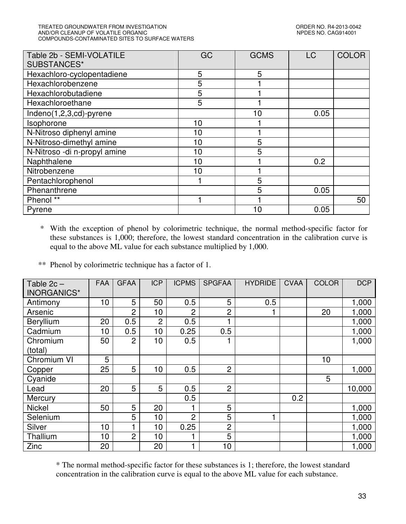#### TREATED GROUNDWATER FROM INVESTIGATION CONNECTIVE SERVICE ORDER NO. R4-2013-0042<br>AND/OR CLEANUP OF VOLATILE ORGANIC AND/OR CLEANUP OF VOLATILE ORGANIC COMPOUNDS-CONTAMINATED SITES TO SURFACE WATERS

| Table 2b - SEMI-VOLATILE<br>SUBSTANCES* | GC | <b>GCMS</b> | <b>LC</b> | <b>COLOR</b> |
|-----------------------------------------|----|-------------|-----------|--------------|
| Hexachloro-cyclopentadiene              | 5  | 5           |           |              |
| Hexachlorobenzene                       | 5  |             |           |              |
| Hexachlorobutadiene                     | 5  |             |           |              |
| Hexachloroethane                        | 5  |             |           |              |
| Indeno(1,2,3,cd)-pyrene                 |    | 10          | 0.05      |              |
| Isophorone                              | 10 |             |           |              |
| N-Nitroso diphenyl amine                | 10 |             |           |              |
| N-Nitroso-dimethyl amine                | 10 | 5           |           |              |
| N-Nitroso -di n-propyl amine            | 10 | 5           |           |              |
| Naphthalene                             | 10 |             | 0.2       |              |
| Nitrobenzene                            | 10 |             |           |              |
| Pentachlorophenol                       |    | 5           |           |              |
| Phenanthrene                            |    | 5           | 0.05      |              |
| Phenol **                               |    |             |           | 50           |
| Pyrene                                  |    | 10          | 0.05      |              |

 \* With the exception of phenol by colorimetric technique, the normal method-specific factor for these substances is 1,000; therefore, the lowest standard concentration in the calibration curve is equal to the above ML value for each substance multiplied by 1,000.

\*\* Phenol by colorimetric technique has a factor of 1.

| Table $2c -$<br>INORGANICS* | <b>FAA</b>      | <b>GFAA</b>    | <b>ICP</b>     | <b>ICPMS</b>   | <b>SPGFAA</b>  | <b>HYDRIDE</b> | <b>CVAA</b> | <b>COLOR</b> | <b>DCP</b> |
|-----------------------------|-----------------|----------------|----------------|----------------|----------------|----------------|-------------|--------------|------------|
| Antimony                    | 10 <sub>1</sub> | 5              | 50             | 0.5            | 5              | 0.5            |             |              | 1,000      |
| Arsenic                     |                 | 2              | 10             | 2              | 2              |                |             | 20           | 1,000      |
| Beryllium                   | 20              | 0.5            | $\overline{2}$ | 0.5            |                |                |             |              | 1,000      |
| Cadmium                     | 10              | 0.5            | 10             | 0.25           | 0.5            |                |             |              | 1,000      |
| Chromium                    | 50              | 2              | 10             | 0.5            |                |                |             |              | 1,000      |
| (total)                     |                 |                |                |                |                |                |             |              |            |
| Chromium VI                 | 5               |                |                |                |                |                |             | 10           |            |
| Copper                      | 25              | 5              | 10             | 0.5            | $\overline{2}$ |                |             |              | 1,000      |
| Cyanide                     |                 |                |                |                |                |                |             | 5            |            |
| Lead                        | 20              | 5              | 5              | 0.5            | $\overline{2}$ |                |             |              | 10,000     |
| Mercury                     |                 |                |                | 0.5            |                |                | 0.2         |              |            |
| <b>Nickel</b>               | 50              | 5              | 20             |                | 5              |                |             |              | 1,000      |
| Selenium                    |                 | 5              | 10             | $\overline{2}$ | 5              | 1              |             |              | 1,000      |
| Silver                      | 10 <sub>1</sub> |                | 10             | 0.25           | $\overline{2}$ |                |             |              | 1,000      |
| Thallium                    | 10 <sub>1</sub> | $\overline{2}$ | 10             |                | 5              |                |             |              | 1,000      |
| Zinc                        | 20              |                | 20             | 1              | 10             |                |             |              | 1,000      |

\* The normal method-specific factor for these substances is 1; therefore, the lowest standard concentration in the calibration curve is equal to the above ML value for each substance.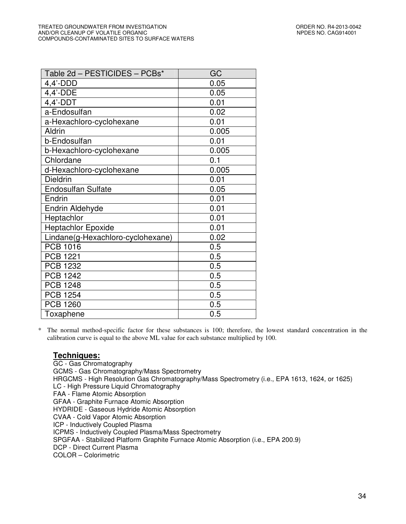| Table 2d - PESTICIDES - PCBs*     | GC    |
|-----------------------------------|-------|
| $4,4'$ -DDD                       | 0.05  |
| 4,4'-DDE                          | 0.05  |
| $4,4'$ -DDT                       | 0.01  |
| a-Endosulfan                      | 0.02  |
| a-Hexachloro-cyclohexane          | 0.01  |
| Aldrin                            | 0.005 |
| b-Endosulfan                      | 0.01  |
| b-Hexachloro-cyclohexane          | 0.005 |
| Chlordane                         | 0.1   |
| d-Hexachloro-cyclohexane          | 0.005 |
| <b>Dieldrin</b>                   | 0.01  |
| <b>Endosulfan Sulfate</b>         | 0.05  |
| Endrin                            | 0.01  |
| <b>Endrin Aldehyde</b>            | 0.01  |
| Heptachlor                        | 0.01  |
| <b>Heptachlor Epoxide</b>         | 0.01  |
| Lindane(g-Hexachloro-cyclohexane) | 0.02  |
| <b>PCB 1016</b>                   | 0.5   |
| <b>PCB 1221</b>                   | 0.5   |
| <b>PCB 1232</b>                   | 0.5   |
| <b>PCB 1242</b>                   | 0.5   |
| <b>PCB 1248</b>                   | 0.5   |
| <b>PCB 1254</b>                   | 0.5   |
| <b>PCB 1260</b>                   | 0.5   |
| Toxaphene                         | 0.5   |

\* The normal method-specific factor for these substances is 100; therefore, the lowest standard concentration in the calibration curve is equal to the above ML value for each substance multiplied by 100.

## **Techniques:**

GC - Gas Chromatography GCMS - Gas Chromatography/Mass Spectrometry HRGCMS - High Resolution Gas Chromatography/Mass Spectrometry (i.e., EPA 1613, 1624, or 1625) LC - High Pressure Liquid Chromatography FAA - Flame Atomic Absorption GFAA - Graphite Furnace Atomic Absorption HYDRIDE - Gaseous Hydride Atomic Absorption CVAA - Cold Vapor Atomic Absorption ICP - Inductively Coupled Plasma ICPMS - Inductively Coupled Plasma/Mass Spectrometry SPGFAA - Stabilized Platform Graphite Furnace Atomic Absorption (i.e., EPA 200.9) DCP - Direct Current Plasma COLOR – Colorimetric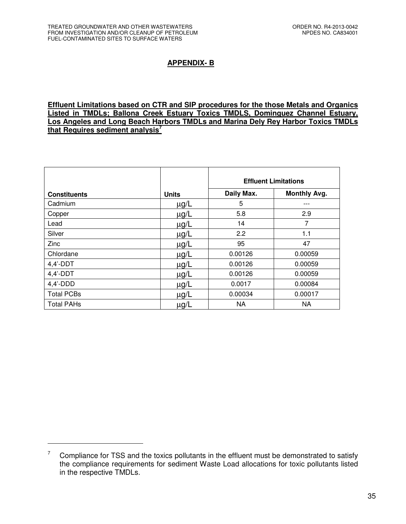$\overline{a}$ 

# **APPENDIX- B**

**Effluent Limitations based on CTR and SIP procedures for the those Metals and Organics Listed in TMDLs; Ballona Creek Estuary Toxics TMDLS, Dominguez Channel Estuary, Los Angeles and Long Beach Harbors TMDLs and Marina Dely Rey Harbor Toxics TMDLs that Requires sediment analysis<sup>7</sup>**

|                     |              | <b>Effluent Limitations</b> |                     |  |
|---------------------|--------------|-----------------------------|---------------------|--|
| <b>Constituents</b> | <b>Units</b> | Daily Max.                  | <b>Monthly Avg.</b> |  |
| Cadmium             | $\mu$ g/L    | 5                           |                     |  |
| Copper              | $\mu$ g/L    | 5.8                         | 2.9                 |  |
| Lead                | $\mu$ g/L    | 14                          | 7                   |  |
| Silver              | $\mu$ g/L    | 2.2                         | 1.1                 |  |
| Zinc                | $\mu$ g/L    | 95                          | 47                  |  |
| Chlordane           | $\mu$ g/L    | 0.00126                     | 0.00059             |  |
| $4,4'$ -DDT         | $\mu$ g/L    | 0.00126                     | 0.00059             |  |
| $4,4'$ -DDT         | $\mu$ g/L    | 0.00126                     | 0.00059             |  |
| $4,4'$ -DDD         | $\mu$ g/L    | 0.0017                      | 0.00084             |  |
| <b>Total PCBs</b>   | $\mu$ g/L    | 0.00034                     | 0.00017             |  |
| <b>Total PAHs</b>   | $\mu$ g/L    | NA                          | NA                  |  |

<sup>7</sup> Compliance for TSS and the toxics pollutants in the effluent must be demonstrated to satisfy the compliance requirements for sediment Waste Load allocations for toxic pollutants listed in the respective TMDLs.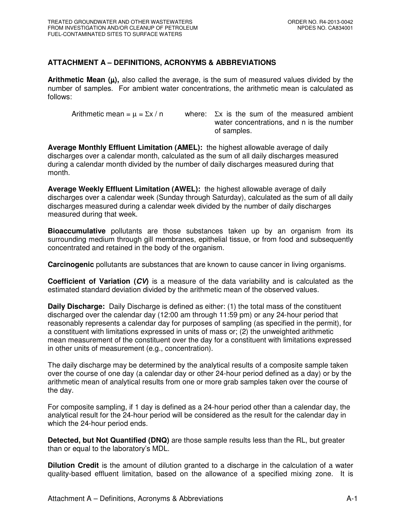## **ATTACHMENT A – DEFINITIONS, ACRONYMS & ABBREVIATIONS**

**Arithmetic Mean**  $(\mu)$ **, also called the average, is the sum of measured values divided by the** number of samples. For ambient water concentrations, the arithmetic mean is calculated as follows:

Arithmetic mean =  $\mu$  =  $\Sigma x / n$  where:  $\Sigma x$  is the sum of the measured ambient water concentrations, and n is the number of samples.

**Average Monthly Effluent Limitation (AMEL):** the highest allowable average of daily discharges over a calendar month, calculated as the sum of all daily discharges measured during a calendar month divided by the number of daily discharges measured during that month.

**Average Weekly Effluent Limitation (AWEL):** the highest allowable average of daily discharges over a calendar week (Sunday through Saturday), calculated as the sum of all daily discharges measured during a calendar week divided by the number of daily discharges measured during that week.

**Bioaccumulative** pollutants are those substances taken up by an organism from its surrounding medium through gill membranes, epithelial tissue, or from food and subsequently concentrated and retained in the body of the organism.

**Carcinogenic** pollutants are substances that are known to cause cancer in living organisms.

**Coefficient of Variation (CV)** is a measure of the data variability and is calculated as the estimated standard deviation divided by the arithmetic mean of the observed values.

**Daily Discharge:** Daily Discharge is defined as either: (1) the total mass of the constituent discharged over the calendar day (12:00 am through 11:59 pm) or any 24-hour period that reasonably represents a calendar day for purposes of sampling (as specified in the permit), for a constituent with limitations expressed in units of mass or; (2) the unweighted arithmetic mean measurement of the constituent over the day for a constituent with limitations expressed in other units of measurement (e.g., concentration).

The daily discharge may be determined by the analytical results of a composite sample taken over the course of one day (a calendar day or other 24-hour period defined as a day) or by the arithmetic mean of analytical results from one or more grab samples taken over the course of the day.

For composite sampling, if 1 day is defined as a 24-hour period other than a calendar day, the analytical result for the 24-hour period will be considered as the result for the calendar day in which the 24-hour period ends.

**Detected, but Not Quantified (DNQ)** are those sample results less than the RL, but greater than or equal to the laboratory's MDL.

**Dilution Credit** is the amount of dilution granted to a discharge in the calculation of a water quality-based effluent limitation, based on the allowance of a specified mixing zone. It is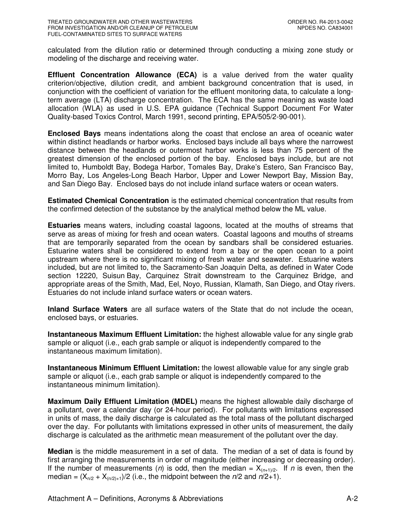calculated from the dilution ratio or determined through conducting a mixing zone study or modeling of the discharge and receiving water.

**Effluent Concentration Allowance (ECA)** is a value derived from the water quality criterion/objective, dilution credit, and ambient background concentration that is used, in conjunction with the coefficient of variation for the effluent monitoring data, to calculate a longterm average (LTA) discharge concentration. The ECA has the same meaning as waste load allocation (WLA) as used in U.S. EPA guidance (Technical Support Document For Water Quality-based Toxics Control, March 1991, second printing, EPA/505/2-90-001).

**Enclosed Bays** means indentations along the coast that enclose an area of oceanic water within distinct headlands or harbor works. Enclosed bays include all bays where the narrowest distance between the headlands or outermost harbor works is less than 75 percent of the greatest dimension of the enclosed portion of the bay. Enclosed bays include, but are not limited to, Humboldt Bay, Bodega Harbor, Tomales Bay, Drake's Estero, San Francisco Bay, Morro Bay, Los Angeles-Long Beach Harbor, Upper and Lower Newport Bay, Mission Bay, and San Diego Bay. Enclosed bays do not include inland surface waters or ocean waters.

**Estimated Chemical Concentration** is the estimated chemical concentration that results from the confirmed detection of the substance by the analytical method below the ML value.

**Estuaries** means waters, including coastal lagoons, located at the mouths of streams that serve as areas of mixing for fresh and ocean waters. Coastal lagoons and mouths of streams that are temporarily separated from the ocean by sandbars shall be considered estuaries. Estuarine waters shall be considered to extend from a bay or the open ocean to a point upstream where there is no significant mixing of fresh water and seawater. Estuarine waters included, but are not limited to, the Sacramento-San Joaquin Delta, as defined in Water Code section 12220, Suisun Bay, Carquinez Strait downstream to the Carquinez Bridge, and appropriate areas of the Smith, Mad, Eel, Noyo, Russian, Klamath, San Diego, and Otay rivers. Estuaries do not include inland surface waters or ocean waters.

**Inland Surface Waters** are all surface waters of the State that do not include the ocean, enclosed bays, or estuaries.

**Instantaneous Maximum Effluent Limitation:** the highest allowable value for any single grab sample or aliquot (i.e., each grab sample or aliquot is independently compared to the instantaneous maximum limitation).

**Instantaneous Minimum Effluent Limitation:** the lowest allowable value for any single grab sample or aliquot (i.e., each grab sample or aliquot is independently compared to the instantaneous minimum limitation).

**Maximum Daily Effluent Limitation (MDEL)** means the highest allowable daily discharge of a pollutant, over a calendar day (or 24-hour period). For pollutants with limitations expressed in units of mass, the daily discharge is calculated as the total mass of the pollutant discharged over the day. For pollutants with limitations expressed in other units of measurement, the daily discharge is calculated as the arithmetic mean measurement of the pollutant over the day.

**Median** is the middle measurement in a set of data. The median of a set of data is found by first arranging the measurements in order of magnitude (either increasing or decreasing order). If the number of measurements (n) is odd, then the median =  $X_{(n+1)/2}$ . If n is even, then the median =  $(X_{n/2} + X_{n/2)+1}$ /2 (i.e., the midpoint between the *n*/2 and *n*/2+1).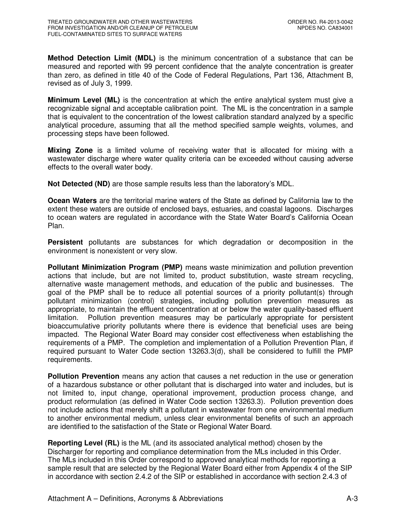**Method Detection Limit (MDL)** is the minimum concentration of a substance that can be measured and reported with 99 percent confidence that the analyte concentration is greater than zero, as defined in title 40 of the Code of Federal Regulations, Part 136, Attachment B, revised as of July 3, 1999.

**Minimum Level (ML)** is the concentration at which the entire analytical system must give a recognizable signal and acceptable calibration point. The ML is the concentration in a sample that is equivalent to the concentration of the lowest calibration standard analyzed by a specific analytical procedure, assuming that all the method specified sample weights, volumes, and processing steps have been followed.

**Mixing Zone** is a limited volume of receiving water that is allocated for mixing with a wastewater discharge where water quality criteria can be exceeded without causing adverse effects to the overall water body.

**Not Detected (ND)** are those sample results less than the laboratory's MDL.

**Ocean Waters** are the territorial marine waters of the State as defined by California law to the extent these waters are outside of enclosed bays, estuaries, and coastal lagoons. Discharges to ocean waters are regulated in accordance with the State Water Board's California Ocean Plan.

**Persistent** pollutants are substances for which degradation or decomposition in the environment is nonexistent or very slow.

**Pollutant Minimization Program (PMP)** means waste minimization and pollution prevention actions that include, but are not limited to, product substitution, waste stream recycling, alternative waste management methods, and education of the public and businesses. The goal of the PMP shall be to reduce all potential sources of a priority pollutant(s) through pollutant minimization (control) strategies, including pollution prevention measures as appropriate, to maintain the effluent concentration at or below the water quality-based effluent limitation. Pollution prevention measures may be particularly appropriate for persistent bioaccumulative priority pollutants where there is evidence that beneficial uses are being impacted. The Regional Water Board may consider cost effectiveness when establishing the requirements of a PMP. The completion and implementation of a Pollution Prevention Plan, if required pursuant to Water Code section 13263.3(d), shall be considered to fulfill the PMP requirements.

**Pollution Prevention** means any action that causes a net reduction in the use or generation of a hazardous substance or other pollutant that is discharged into water and includes, but is not limited to, input change, operational improvement, production process change, and product reformulation (as defined in Water Code section 13263.3). Pollution prevention does not include actions that merely shift a pollutant in wastewater from one environmental medium to another environmental medium, unless clear environmental benefits of such an approach are identified to the satisfaction of the State or Regional Water Board.

**Reporting Level (RL)** is the ML (and its associated analytical method) chosen by the Discharger for reporting and compliance determination from the MLs included in this Order. The MLs included in this Order correspond to approved analytical methods for reporting a sample result that are selected by the Regional Water Board either from Appendix 4 of the SIP in accordance with section 2.4.2 of the SIP or established in accordance with section 2.4.3 of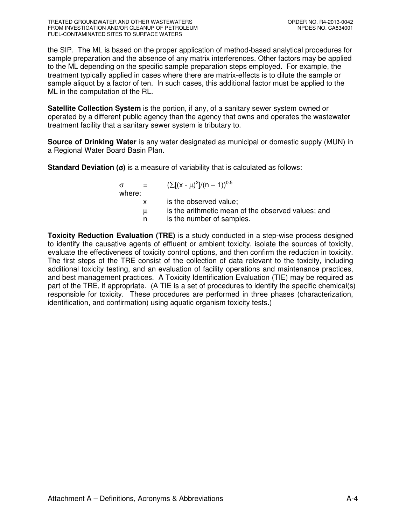the SIP. The ML is based on the proper application of method-based analytical procedures for sample preparation and the absence of any matrix interferences. Other factors may be applied to the ML depending on the specific sample preparation steps employed. For example, the treatment typically applied in cases where there are matrix-effects is to dilute the sample or sample aliquot by a factor of ten. In such cases, this additional factor must be applied to the ML in the computation of the RL.

**Satellite Collection System** is the portion, if any, of a sanitary sewer system owned or operated by a different public agency than the agency that owns and operates the wastewater treatment facility that a sanitary sewer system is tributary to.

**Source of Drinking Water** is any water designated as municipal or domestic supply (MUN) in a Regional Water Board Basin Plan.

**Standard Deviation (**σ**)** is a measure of variability that is calculated as follows:

 $\sigma = (\sum [(x - μ)^2]/(n - 1))^{0.5}$ where: x is the observed value; µ is the arithmetic mean of the observed values; and n is the number of samples.

**Toxicity Reduction Evaluation (TRE)** is a study conducted in a step-wise process designed to identify the causative agents of effluent or ambient toxicity, isolate the sources of toxicity, evaluate the effectiveness of toxicity control options, and then confirm the reduction in toxicity. The first steps of the TRE consist of the collection of data relevant to the toxicity, including additional toxicity testing, and an evaluation of facility operations and maintenance practices, and best management practices. A Toxicity Identification Evaluation (TIE) may be required as part of the TRE, if appropriate. (A TIE is a set of procedures to identify the specific chemical(s) responsible for toxicity. These procedures are performed in three phases (characterization, identification, and confirmation) using aquatic organism toxicity tests.)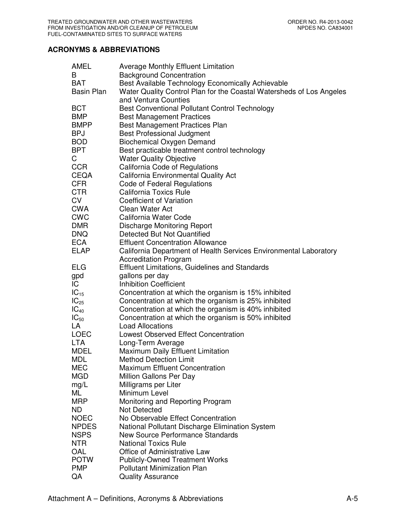## **ACRONYMS & ABBREVIATIONS**

| AMEL              | <b>Average Monthly Effluent Limitation</b>                           |
|-------------------|----------------------------------------------------------------------|
| B                 | <b>Background Concentration</b>                                      |
| <b>BAT</b>        | Best Available Technology Economically Achievable                    |
| <b>Basin Plan</b> | Water Quality Control Plan for the Coastal Watersheds of Los Angeles |
|                   | and Ventura Counties                                                 |
| <b>BCT</b>        | Best Conventional Pollutant Control Technology                       |
| <b>BMP</b>        | <b>Best Management Practices</b>                                     |
| <b>BMPP</b>       | Best Management Practices Plan                                       |
| <b>BPJ</b>        | <b>Best Professional Judgment</b>                                    |
| <b>BOD</b>        | <b>Biochemical Oxygen Demand</b>                                     |
| <b>BPT</b>        | Best practicable treatment control technology                        |
| C                 | <b>Water Quality Objective</b>                                       |
| <b>CCR</b>        | California Code of Regulations                                       |
| <b>CEQA</b>       | California Environmental Quality Act                                 |
| <b>CFR</b>        | Code of Federal Regulations                                          |
| <b>CTR</b>        | <b>California Toxics Rule</b>                                        |
| <b>CV</b>         | <b>Coefficient of Variation</b>                                      |
| <b>CWA</b>        | Clean Water Act                                                      |
| <b>CWC</b>        | California Water Code                                                |
| <b>DMR</b>        | <b>Discharge Monitoring Report</b>                                   |
| <b>DNQ</b>        | Detected But Not Quantified                                          |
| <b>ECA</b>        | <b>Effluent Concentration Allowance</b>                              |
| <b>ELAP</b>       | California Department of Health Services Environmental Laboratory    |
|                   | <b>Accreditation Program</b>                                         |
| <b>ELG</b>        | <b>Effluent Limitations, Guidelines and Standards</b>                |
| gpd               | gallons per day                                                      |
| IC                | <b>Inhibition Coefficient</b>                                        |
| $IC_{15}$         | Concentration at which the organism is 15% inhibited                 |
| $IC_{25}$         | Concentration at which the organism is 25% inhibited                 |
| $IC_{40}$         | Concentration at which the organism is 40% inhibited                 |
| $IC_{50}$         | Concentration at which the organism is 50% inhibited                 |
| LA                | <b>Load Allocations</b>                                              |
| <b>LOEC</b>       | <b>Lowest Observed Effect Concentration</b>                          |
| <b>LTA</b>        | Long-Term Average                                                    |
| <b>MDEL</b>       | Maximum Daily Effluent Limitation                                    |
| <b>MDL</b>        | <b>Method Detection Limit</b>                                        |
| <b>MEC</b>        | <b>Maximum Effluent Concentration</b>                                |
| <b>MGD</b>        | Million Gallons Per Day                                              |
| mg/L              | Milligrams per Liter                                                 |
| ML                | Minimum Level                                                        |
| <b>MRP</b>        | Monitoring and Reporting Program                                     |
| ND.               | <b>Not Detected</b>                                                  |
| <b>NOEC</b>       | No Observable Effect Concentration                                   |
| <b>NPDES</b>      | National Pollutant Discharge Elimination System                      |
| <b>NSPS</b>       | <b>New Source Performance Standards</b>                              |
| <b>NTR</b>        | <b>National Toxics Rule</b>                                          |
| OAL               | Office of Administrative Law                                         |
| <b>POTW</b>       | <b>Publicly-Owned Treatment Works</b>                                |
| <b>PMP</b>        | <b>Pollutant Minimization Plan</b>                                   |
| QA                | <b>Quality Assurance</b>                                             |